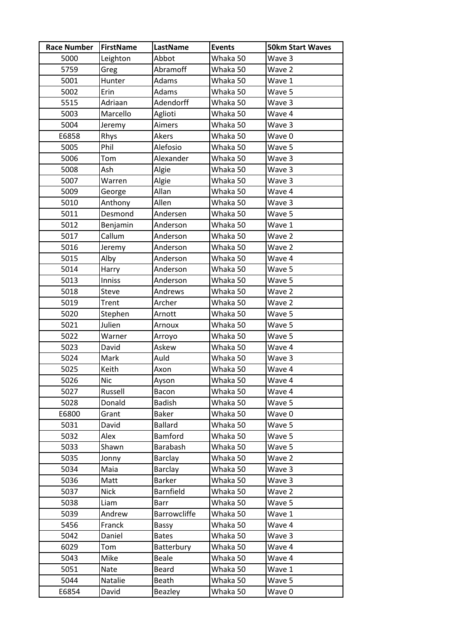| <b>Race Number</b> | <b>FirstName</b> | LastName            | <b>Events</b> | <b>50km Start Waves</b> |
|--------------------|------------------|---------------------|---------------|-------------------------|
| 5000               | Leighton         | Abbot               | Whaka 50      | Wave 3                  |
| 5759               | Greg             | Abramoff            | Whaka 50      | Wave 2                  |
| 5001               | Hunter           | Adams               | Whaka 50      | Wave 1                  |
| 5002               | Erin             | Adams               | Whaka 50      | Wave 5                  |
| 5515               | Adriaan          | Adendorff           | Whaka 50      | Wave 3                  |
| 5003               | Marcello         | Aglioti             | Whaka 50      | Wave 4                  |
| 5004               | Jeremy           | Aimers              | Whaka 50      | Wave 3                  |
| E6858              | Rhys             | Akers               | Whaka 50      | Wave 0                  |
| 5005               | Phil             | Alefosio            | Whaka 50      | Wave 5                  |
| 5006               | Tom              | Alexander           | Whaka 50      | Wave 3                  |
| 5008               | Ash              | Algie               | Whaka 50      | Wave 3                  |
| 5007               | Warren           | Algie               | Whaka 50      | Wave 3                  |
| 5009               | George           | Allan               | Whaka 50      | Wave 4                  |
| 5010               | Anthony          | Allen               | Whaka 50      | Wave 3                  |
| 5011               | Desmond          | Andersen            | Whaka 50      | Wave 5                  |
| 5012               | Benjamin         | Anderson            | Whaka 50      | Wave 1                  |
| 5017               | Callum           | Anderson            | Whaka 50      | Wave 2                  |
| 5016               | Jeremy           | Anderson            | Whaka 50      | Wave 2                  |
| 5015               | Alby             | Anderson            | Whaka 50      | Wave 4                  |
| 5014               | Harry            | Anderson            | Whaka 50      | Wave 5                  |
| 5013               | Inniss           | Anderson            | Whaka 50      | Wave 5                  |
| 5018               | Steve            | Andrews             | Whaka 50      | Wave 2                  |
| 5019               | Trent            | Archer              | Whaka 50      | Wave 2                  |
| 5020               | Stephen          | Arnott              | Whaka 50      | Wave 5                  |
| 5021               | Julien           | Arnoux              | Whaka 50      | Wave 5                  |
| 5022               | Warner           | Arroyo              | Whaka 50      | Wave 5                  |
| 5023               | David            | Askew               | Whaka 50      | Wave 4                  |
| 5024               | Mark             | Auld                | Whaka 50      | Wave 3                  |
| 5025               | Keith            | Axon                | Whaka 50      | Wave 4                  |
| 5026               | <b>Nic</b>       | Ayson               | Whaka 50      | Wave 4                  |
| 5027               | Russell          | Bacon               | Whaka 50      | Wave 4                  |
| 5028               | Donald           | <b>Badish</b>       | Whaka 50      | Wave 5                  |
| E6800              | Grant            | <b>Baker</b>        | Whaka 50      | Wave 0                  |
| 5031               | David            | <b>Ballard</b>      | Whaka 50      | Wave 5                  |
| 5032               | Alex             | Bamford             | Whaka 50      | Wave 5                  |
| 5033               | Shawn            | Barabash            | Whaka 50      | Wave 5                  |
| 5035               | Jonny            | Barclay             | Whaka 50      | Wave 2                  |
| 5034               | Maia             | Barclay             | Whaka 50      | Wave 3                  |
| 5036               | Matt             | <b>Barker</b>       | Whaka 50      | Wave 3                  |
| 5037               | <b>Nick</b>      | Barnfield           | Whaka 50      | Wave 2                  |
| 5038               | Liam             | Barr                | Whaka 50      | Wave 5                  |
| 5039               | Andrew           | <b>Barrowcliffe</b> | Whaka 50      | Wave 1                  |
| 5456               | Franck           | Bassy               | Whaka 50      | Wave 4                  |
| 5042               | Daniel           | <b>Bates</b>        | Whaka 50      | Wave 3                  |
| 6029               | Tom              | Batterbury          | Whaka 50      | Wave 4                  |
| 5043               | Mike             | Beale               | Whaka 50      | Wave 4                  |
| 5051               | Nate             | Beard               | Whaka 50      | Wave 1                  |
| 5044               | Natalie          | <b>Beath</b>        | Whaka 50      | Wave 5                  |
| E6854              | David            | Beazley             | Whaka 50      | Wave 0                  |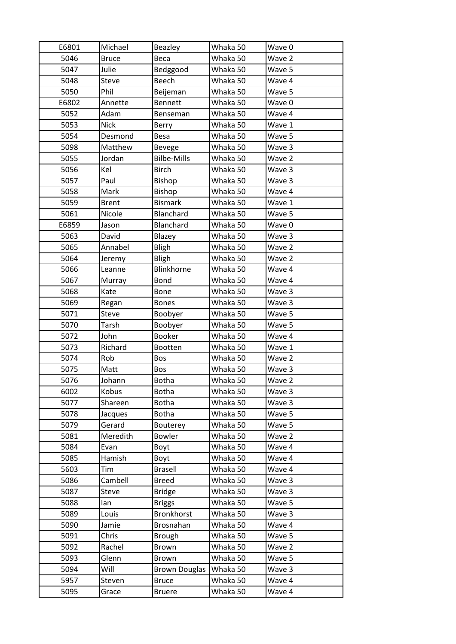| E6801 | Michael      | Beazley              | Whaka 50 | Wave 0 |
|-------|--------------|----------------------|----------|--------|
| 5046  | <b>Bruce</b> | Beca                 | Whaka 50 | Wave 2 |
| 5047  | Julie        | Bedggood             | Whaka 50 | Wave 5 |
| 5048  | <b>Steve</b> | <b>Beech</b>         | Whaka 50 | Wave 4 |
| 5050  | Phil         | Beijeman             | Whaka 50 | Wave 5 |
| E6802 | Annette      | <b>Bennett</b>       | Whaka 50 | Wave 0 |
| 5052  | Adam         | Benseman             | Whaka 50 | Wave 4 |
| 5053  | <b>Nick</b>  | Berry                | Whaka 50 | Wave 1 |
| 5054  | Desmond      | <b>Besa</b>          | Whaka 50 | Wave 5 |
| 5098  | Matthew      | <b>Bevege</b>        | Whaka 50 | Wave 3 |
| 5055  | Jordan       | <b>Bilbe-Mills</b>   | Whaka 50 | Wave 2 |
| 5056  | Kel          | <b>Birch</b>         | Whaka 50 | Wave 3 |
| 5057  | Paul         | <b>Bishop</b>        | Whaka 50 | Wave 3 |
| 5058  | Mark         | Bishop               | Whaka 50 | Wave 4 |
| 5059  | <b>Brent</b> | <b>Bismark</b>       | Whaka 50 | Wave 1 |
| 5061  | Nicole       | Blanchard            | Whaka 50 | Wave 5 |
| E6859 | Jason        | Blanchard            | Whaka 50 | Wave 0 |
| 5063  | David        | Blazey               | Whaka 50 | Wave 3 |
| 5065  | Annabel      | <b>Bligh</b>         | Whaka 50 | Wave 2 |
| 5064  | Jeremy       | <b>Bligh</b>         | Whaka 50 | Wave 2 |
| 5066  | Leanne       | Blinkhorne           | Whaka 50 | Wave 4 |
| 5067  | Murray       | <b>Bond</b>          | Whaka 50 | Wave 4 |
| 5068  | Kate         | <b>Bone</b>          | Whaka 50 | Wave 3 |
| 5069  | Regan        | <b>Bones</b>         | Whaka 50 | Wave 3 |
| 5071  | Steve        | Boobyer              | Whaka 50 | Wave 5 |
| 5070  | Tarsh        | Boobyer              | Whaka 50 | Wave 5 |
| 5072  | John         | Booker               | Whaka 50 | Wave 4 |
| 5073  | Richard      | Bootten              | Whaka 50 | Wave 1 |
| 5074  | Rob          | Bos                  | Whaka 50 | Wave 2 |
| 5075  | Matt         | Bos                  | Whaka 50 | Wave 3 |
| 5076  | Johann       | <b>Botha</b>         | Whaka 50 | Wave 2 |
| 6002  | Kobus        | <b>Botha</b>         | Whaka 50 | Wave 3 |
| 5077  | Shareen      | <b>Botha</b>         | Whaka 50 | Wave 3 |
| 5078  | Jacques      | <b>Botha</b>         | Whaka 50 | Wave 5 |
| 5079  | Gerard       | Bouterey             | Whaka 50 | Wave 5 |
| 5081  | Meredith     | Bowler               | Whaka 50 | Wave 2 |
| 5084  | Evan         | Boyt                 | Whaka 50 | Wave 4 |
| 5085  | Hamish       | Boyt                 | Whaka 50 | Wave 4 |
| 5603  | Tim          | <b>Brasell</b>       | Whaka 50 | Wave 4 |
| 5086  | Cambell      | <b>Breed</b>         | Whaka 50 | Wave 3 |
| 5087  | Steve        | <b>Bridge</b>        | Whaka 50 | Wave 3 |
| 5088  | lan          | <b>Briggs</b>        | Whaka 50 | Wave 5 |
| 5089  | Louis        | Bronkhorst           | Whaka 50 | Wave 3 |
| 5090  | Jamie        | Brosnahan            | Whaka 50 | Wave 4 |
| 5091  | Chris        | <b>Brough</b>        | Whaka 50 | Wave 5 |
| 5092  | Rachel       | Brown                | Whaka 50 | Wave 2 |
| 5093  | Glenn        | Brown                | Whaka 50 | Wave 5 |
| 5094  | Will         | <b>Brown Douglas</b> | Whaka 50 | Wave 3 |
| 5957  | Steven       | <b>Bruce</b>         | Whaka 50 | Wave 4 |
| 5095  | Grace        | <b>Bruere</b>        | Whaka 50 | Wave 4 |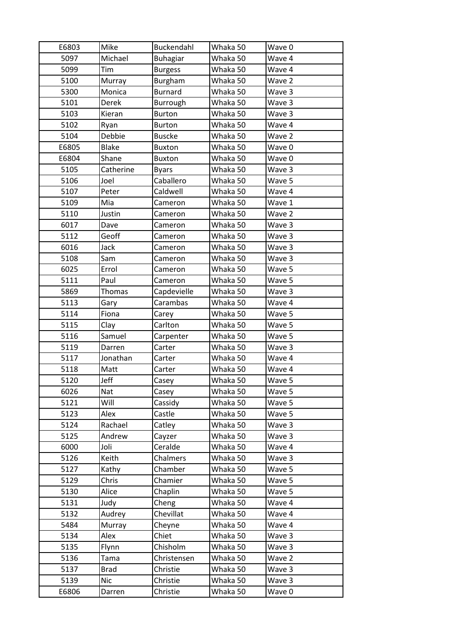| E6803 | Mike         | Buckendahl      | Whaka 50 | Wave 0 |
|-------|--------------|-----------------|----------|--------|
| 5097  | Michael      | <b>Buhagiar</b> | Whaka 50 | Wave 4 |
| 5099  | Tim          | <b>Burgess</b>  | Whaka 50 | Wave 4 |
| 5100  | Murray       | Burgham         | Whaka 50 | Wave 2 |
| 5300  | Monica       | <b>Burnard</b>  | Whaka 50 | Wave 3 |
| 5101  | <b>Derek</b> | Burrough        | Whaka 50 | Wave 3 |
| 5103  | Kieran       | <b>Burton</b>   | Whaka 50 | Wave 3 |
| 5102  | Ryan         | Burton          | Whaka 50 | Wave 4 |
| 5104  | Debbie       | <b>Buscke</b>   | Whaka 50 | Wave 2 |
| E6805 | <b>Blake</b> | <b>Buxton</b>   | Whaka 50 | Wave 0 |
| E6804 | Shane        | <b>Buxton</b>   | Whaka 50 | Wave 0 |
| 5105  | Catherine    | <b>Byars</b>    | Whaka 50 | Wave 3 |
| 5106  | Joel         | Caballero       | Whaka 50 | Wave 5 |
| 5107  | Peter        | Caldwell        | Whaka 50 | Wave 4 |
| 5109  | Mia          | Cameron         | Whaka 50 | Wave 1 |
| 5110  | Justin       | Cameron         | Whaka 50 | Wave 2 |
| 6017  | Dave         | Cameron         | Whaka 50 | Wave 3 |
| 5112  | Geoff        | Cameron         | Whaka 50 | Wave 3 |
| 6016  | Jack         | Cameron         | Whaka 50 | Wave 3 |
| 5108  | Sam          | Cameron         | Whaka 50 | Wave 3 |
| 6025  | Errol        | Cameron         | Whaka 50 | Wave 5 |
| 5111  | Paul         | Cameron         | Whaka 50 | Wave 5 |
| 5869  | Thomas       | Capdevielle     | Whaka 50 | Wave 3 |
| 5113  | Gary         | Carambas        | Whaka 50 | Wave 4 |
| 5114  | Fiona        | Carey           | Whaka 50 | Wave 5 |
| 5115  | Clay         | Carlton         | Whaka 50 | Wave 5 |
| 5116  | Samuel       | Carpenter       | Whaka 50 | Wave 5 |
| 5119  | Darren       | Carter          | Whaka 50 | Wave 3 |
| 5117  | Jonathan     | Carter          | Whaka 50 | Wave 4 |
| 5118  | Matt         | Carter          | Whaka 50 | Wave 4 |
| 5120  | Jeff         | Casey           | Whaka 50 | Wave 5 |
| 6026  | Nat          | Casey           | Whaka 50 | Wave 5 |
| 5121  | Will         | Cassidy         | Whaka 50 | Wave 5 |
| 5123  | Alex         | Castle          | Whaka 50 | Wave 5 |
| 5124  | Rachael      | Catley          | Whaka 50 | Wave 3 |
| 5125  | Andrew       | Cayzer          | Whaka 50 | Wave 3 |
| 6000  | Joli         | Ceralde         | Whaka 50 | Wave 4 |
| 5126  | Keith        | Chalmers        | Whaka 50 | Wave 3 |
| 5127  | Kathy        | Chamber         | Whaka 50 | Wave 5 |
| 5129  | Chris        | Chamier         | Whaka 50 | Wave 5 |
| 5130  | Alice        | Chaplin         | Whaka 50 | Wave 5 |
| 5131  | Judy         | Cheng           | Whaka 50 | Wave 4 |
| 5132  | Audrey       | Chevillat       | Whaka 50 | Wave 4 |
| 5484  | Murray       | Cheyne          | Whaka 50 | Wave 4 |
| 5134  | Alex         | Chiet           | Whaka 50 | Wave 3 |
| 5135  | Flynn        | Chisholm        | Whaka 50 | Wave 3 |
| 5136  | Tama         | Christensen     | Whaka 50 | Wave 2 |
| 5137  | <b>Brad</b>  | Christie        | Whaka 50 | Wave 3 |
| 5139  | <b>Nic</b>   | Christie        | Whaka 50 | Wave 3 |
| E6806 | Darren       | Christie        | Whaka 50 | Wave 0 |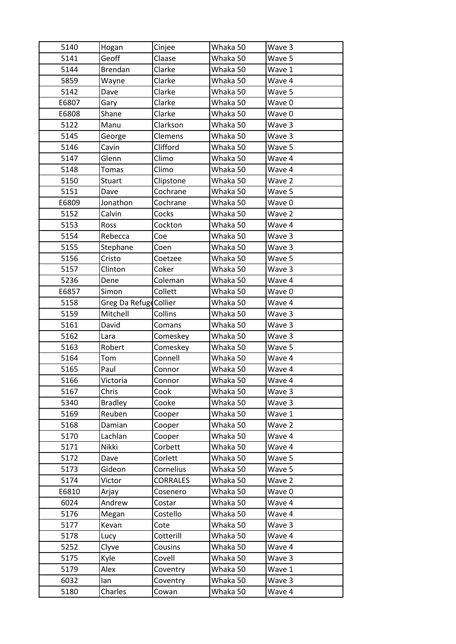| 5140  | Hogan                  | Cinjee          | Whaka 50 | Wave 3 |
|-------|------------------------|-----------------|----------|--------|
| 5141  | Geoff                  | Claase          | Whaka 50 | Wave 5 |
| 5144  | Brendan                | Clarke          | Whaka 50 | Wave 1 |
| 5859  | Wayne                  | Clarke          | Whaka 50 | Wave 4 |
| 5142  | Dave                   | Clarke          | Whaka 50 | Wave 5 |
| E6807 | Gary                   | Clarke          | Whaka 50 | Wave 0 |
| E6808 | Shane                  | Clarke          | Whaka 50 | Wave 0 |
| 5122  |                        | Clarkson        |          |        |
|       | Manu                   |                 | Whaka 50 | Wave 3 |
| 5145  | George                 | Clemens         | Whaka 50 | Wave 3 |
| 5146  | Cavin                  | Clifford        | Whaka 50 | Wave 5 |
| 5147  | Glenn                  | Climo           | Whaka 50 | Wave 4 |
| 5148  | Tomas                  | Climo           | Whaka 50 | Wave 4 |
| 5150  | <b>Stuart</b>          | Clipstone       | Whaka 50 | Wave 2 |
| 5151  | Dave                   | Cochrane        | Whaka 50 | Wave 5 |
| E6809 | Jonathon               | Cochrane        | Whaka 50 | Wave 0 |
| 5152  | Calvin                 | Cocks           | Whaka 50 | Wave 2 |
| 5153  | Ross                   | Cockton         | Whaka 50 | Wave 4 |
| 5154  | Rebecca                | Coe             | Whaka 50 | Wave 3 |
| 5155  | Stephane               | Coen            | Whaka 50 | Wave 3 |
| 5156  | Cristo                 | Coetzee         | Whaka 50 | Wave 5 |
| 5157  | Clinton                | Coker           | Whaka 50 | Wave 3 |
| 5236  | Dene                   | Coleman         | Whaka 50 | Wave 4 |
| E6857 | Simon                  | Collett         | Whaka 50 | Wave 0 |
| 5158  | Greg Da Refuge Collier |                 | Whaka 50 | Wave 4 |
| 5159  | Mitchell               | Collins         | Whaka 50 | Wave 3 |
| 5161  | David                  | Comans          | Whaka 50 | Wave 3 |
| 5162  | Lara                   | Comeskey        | Whaka 50 | Wave 3 |
| 5163  | Robert                 | Comeskey        | Whaka 50 | Wave 5 |
| 5164  | Tom                    | Connell         | Whaka 50 | Wave 4 |
| 5165  | Paul                   | Connor          | Whaka 50 | Wave 4 |
| 5166  | Victoria               | Connor          | Whaka 50 | Wave 4 |
| 5167  | Chris                  | Cook            | Whaka 50 | Wave 3 |
| 5340  | <b>Bradley</b>         | Cooke           | Whaka 50 | Wave 3 |
| 5169  | Reuben                 | Cooper          | Whaka 50 | Wave 1 |
| 5168  | Damian                 | Cooper          | Whaka 50 | Wave 2 |
| 5170  | Lachlan                | Cooper          | Whaka 50 | Wave 4 |
| 5171  | Nikki                  | Corbett         | Whaka 50 | Wave 4 |
| 5172  | Dave                   | Corlett         | Whaka 50 | Wave 5 |
| 5173  | Gideon                 | Cornelius       | Whaka 50 | Wave 5 |
| 5174  | Victor                 | <b>CORRALES</b> | Whaka 50 | Wave 2 |
| E6810 | Arjay                  | Cosenero        | Whaka 50 | Wave 0 |
| 6024  | Andrew                 | Costar          | Whaka 50 | Wave 4 |
| 5176  | Megan                  | Costello        | Whaka 50 | Wave 4 |
| 5177  | Kevan                  | Cote            | Whaka 50 | Wave 3 |
| 5178  | Lucy                   | Cotterill       | Whaka 50 | Wave 4 |
| 5252  | Clyve                  | Cousins         | Whaka 50 | Wave 4 |
| 5175  | Kyle                   | Covell          | Whaka 50 | Wave 3 |
| 5179  | Alex                   | Coventry        | Whaka 50 | Wave 1 |
| 6032  | lan                    | Coventry        | Whaka 50 | Wave 3 |
| 5180  | Charles                | Cowan           | Whaka 50 | Wave 4 |
|       |                        |                 |          |        |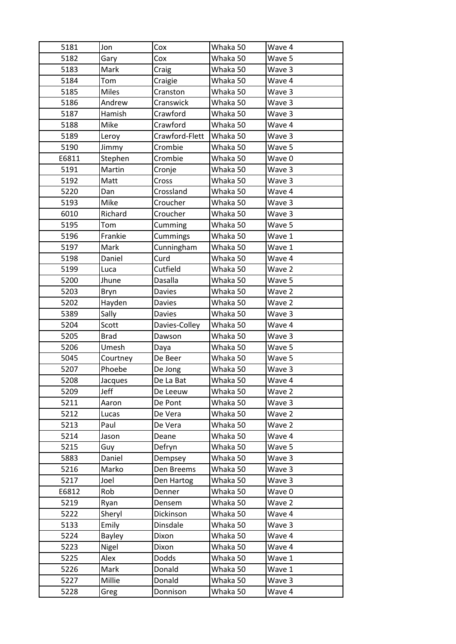| 5181         | Jon          | Cox                | Whaka 50             | Wave 4           |
|--------------|--------------|--------------------|----------------------|------------------|
| 5182         | Gary         | Cox                | Whaka 50             | Wave 5           |
| 5183         | Mark         | Craig              | Whaka 50             | Wave 3           |
| 5184         | Tom          | Craigie            | Whaka 50             | Wave 4           |
| 5185         | <b>Miles</b> | Cranston           | Whaka 50             | Wave 3           |
| 5186         | Andrew       | Cranswick          | Whaka 50             | Wave 3           |
| 5187         | Hamish       | Crawford           | Whaka 50             | Wave 3           |
| 5188         | Mike         | Crawford           | Whaka 50             | Wave 4           |
| 5189         | Leroy        | Crawford-Flett     | Whaka 50             | Wave 3           |
| 5190         | Jimmy        | Crombie            | Whaka 50             | Wave 5           |
| E6811        | Stephen      | Crombie            | Whaka 50             | Wave 0           |
| 5191         | Martin       | Cronje             | Whaka 50             | Wave 3           |
| 5192         | Matt         | Cross              | Whaka 50             | Wave 3           |
| 5220         | Dan          | Crossland          | Whaka 50             | Wave 4           |
| 5193         | Mike         | Croucher           | Whaka 50             | Wave 3           |
| 6010         | Richard      | Croucher           | Whaka 50             | Wave 3           |
| 5195         | Tom          | Cumming            | Whaka 50             | Wave 5           |
| 5196         | Frankie      | Cummings           | Whaka 50             | Wave 1           |
| 5197         | Mark         | Cunningham         | Whaka 50             | Wave 1           |
| 5198         | Daniel       | Curd               | Whaka 50             | Wave 4           |
| 5199         | Luca         | Cutfield           | Whaka 50             | Wave 2           |
| 5200         | Jhune        | Dasalla            | Whaka 50             | Wave 5           |
| 5203         | Bryn         | <b>Davies</b>      | Whaka 50             | Wave 2           |
| 5202         | Hayden       | <b>Davies</b>      | Whaka 50             | Wave 2           |
| 5389         | Sally        | <b>Davies</b>      | Whaka 50             | Wave 3           |
| 5204         | Scott        | Davies-Colley      | Whaka 50             | Wave 4           |
|              |              |                    |                      |                  |
| 5205         | <b>Brad</b>  | Dawson             | Whaka 50             | Wave 3           |
| 5206         | Umesh        | Daya               | Whaka 50             | Wave 5           |
| 5045         | Courtney     | De Beer            | Whaka 50             | Wave 5           |
| 5207         | Phoebe       | De Jong            | Whaka 50             | Wave 3           |
| 5208         | Jacques      | De La Bat          | Whaka 50             | Wave 4           |
| 5209         | Jeff         | De Leeuw           | Whaka 50             | Wave 2           |
| 5211         | Aaron        | De Pont            | Whaka 50             | Wave 3           |
| 5212         | Lucas        | De Vera            | Whaka 50             | Wave 2           |
| 5213         | Paul         | De Vera            | Whaka 50             | Wave 2           |
| 5214         | Jason        | Deane              | Whaka 50             | Wave 4           |
| 5215         | Guy          | Defryn             | Whaka 50             | Wave 5           |
| 5883         | Daniel       | Dempsey            | Whaka 50             | Wave 3           |
| 5216         | Marko        | Den Breems         | Whaka 50             | Wave 3           |
| 5217         | Joel         | Den Hartog         | Whaka 50             | Wave 3           |
| E6812        | Rob          | Denner             | Whaka 50             | Wave 0           |
| 5219         | Ryan         | Densem             | Whaka 50             | Wave 2           |
| 5222         | Sheryl       | Dickinson          | Whaka 50             | Wave 4           |
| 5133         | Emily        | Dinsdale           | Whaka 50             | Wave 3           |
| 5224         | Bayley       | Dixon              | Whaka 50             | Wave 4           |
| 5223         | Nigel        | Dixon              | Whaka 50             | Wave 4           |
| 5225         | Alex         | Dodds              | Whaka 50             | Wave 1           |
| 5226         | Mark         | Donald             | Whaka 50             | Wave 1           |
| 5227<br>5228 | Millie       | Donald<br>Donnison | Whaka 50<br>Whaka 50 | Wave 3<br>Wave 4 |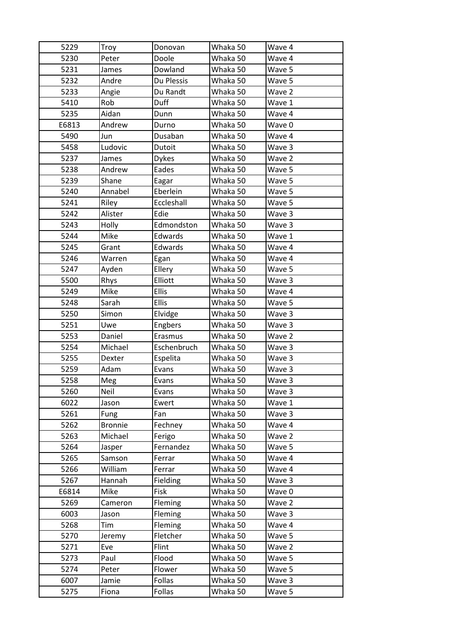| 5229  | Troy           | Donovan      | Whaka 50 | Wave 4 |
|-------|----------------|--------------|----------|--------|
| 5230  | Peter          | Doole        | Whaka 50 | Wave 4 |
| 5231  | James          | Dowland      | Whaka 50 | Wave 5 |
| 5232  | Andre          | Du Plessis   | Whaka 50 | Wave 5 |
| 5233  | Angie          | Du Randt     | Whaka 50 | Wave 2 |
| 5410  | Rob            | Duff         | Whaka 50 | Wave 1 |
| 5235  | Aidan          | Dunn         | Whaka 50 | Wave 4 |
| E6813 | Andrew         | Durno        | Whaka 50 | Wave 0 |
| 5490  | Jun            | Dusaban      | Whaka 50 | Wave 4 |
| 5458  | Ludovic        | Dutoit       | Whaka 50 | Wave 3 |
| 5237  | James          | <b>Dykes</b> | Whaka 50 | Wave 2 |
| 5238  | Andrew         | Eades        | Whaka 50 | Wave 5 |
| 5239  | Shane          | Eagar        | Whaka 50 | Wave 5 |
| 5240  | Annabel        | Eberlein     | Whaka 50 | Wave 5 |
| 5241  | Riley          | Eccleshall   | Whaka 50 | Wave 5 |
| 5242  | Alister        | Edie         | Whaka 50 | Wave 3 |
| 5243  | Holly          | Edmondston   | Whaka 50 | Wave 3 |
| 5244  | Mike           | Edwards      | Whaka 50 | Wave 1 |
| 5245  | Grant          | Edwards      | Whaka 50 | Wave 4 |
| 5246  | Warren         | Egan         | Whaka 50 | Wave 4 |
| 5247  | Ayden          | Ellery       | Whaka 50 | Wave 5 |
| 5500  | Rhys           | Elliott      | Whaka 50 | Wave 3 |
| 5249  | Mike           | <b>Ellis</b> | Whaka 50 | Wave 4 |
| 5248  | Sarah          | <b>Ellis</b> | Whaka 50 | Wave 5 |
| 5250  | Simon          | Elvidge      | Whaka 50 | Wave 3 |
| 5251  | Uwe            | Engbers      | Whaka 50 | Wave 3 |
| 5253  | Daniel         | Erasmus      | Whaka 50 | Wave 2 |
| 5254  | Michael        | Eschenbruch  | Whaka 50 | Wave 3 |
| 5255  | Dexter         | Espelita     | Whaka 50 | Wave 3 |
| 5259  | Adam           | Evans        | Whaka 50 | Wave 3 |
| 5258  | Meg            | Evans        | Whaka 50 | Wave 3 |
| 5260  | Neil           | Evans        | Whaka 50 | Wave 3 |
| 6022  | Jason          | Ewert        | Whaka 50 | Wave 1 |
| 5261  | Fung           | Fan          | Whaka 50 | Wave 3 |
| 5262  | <b>Bronnie</b> | Fechney      | Whaka 50 | Wave 4 |
| 5263  | Michael        | Ferigo       | Whaka 50 | Wave 2 |
| 5264  | Jasper         | Fernandez    | Whaka 50 | Wave 5 |
| 5265  | Samson         | Ferrar       | Whaka 50 | Wave 4 |
| 5266  | William        | Ferrar       | Whaka 50 | Wave 4 |
| 5267  | Hannah         | Fielding     | Whaka 50 | Wave 3 |
| E6814 | Mike           | Fisk         | Whaka 50 | Wave 0 |
| 5269  | Cameron        | Fleming      | Whaka 50 | Wave 2 |
| 6003  | Jason          | Fleming      | Whaka 50 | Wave 3 |
| 5268  | Tim            | Fleming      | Whaka 50 | Wave 4 |
| 5270  | Jeremy         | Fletcher     | Whaka 50 | Wave 5 |
| 5271  | Eve            | Flint        | Whaka 50 | Wave 2 |
| 5273  | Paul           | Flood        | Whaka 50 | Wave 5 |
| 5274  | Peter          | Flower       | Whaka 50 | Wave 5 |
| 6007  | Jamie          | Follas       | Whaka 50 | Wave 3 |
| 5275  | Fiona          | Follas       | Whaka 50 | Wave 5 |
|       |                |              |          |        |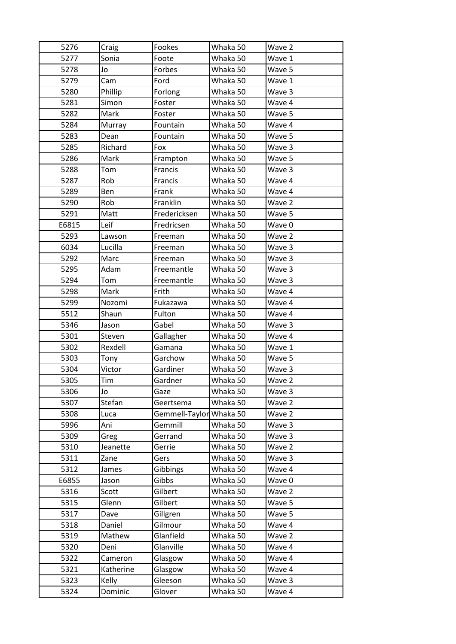| 5276  | Craig     | Fookes                  | Whaka 50 | Wave 2 |
|-------|-----------|-------------------------|----------|--------|
| 5277  | Sonia     | Foote                   | Whaka 50 | Wave 1 |
| 5278  | Jo        | Forbes                  | Whaka 50 | Wave 5 |
| 5279  | Cam       | Ford                    | Whaka 50 | Wave 1 |
| 5280  | Phillip   | Forlong                 | Whaka 50 | Wave 3 |
| 5281  | Simon     | Foster                  | Whaka 50 | Wave 4 |
| 5282  | Mark      | Foster                  | Whaka 50 | Wave 5 |
| 5284  | Murray    | Fountain                | Whaka 50 | Wave 4 |
| 5283  | Dean      | Fountain                | Whaka 50 | Wave 5 |
| 5285  | Richard   | Fox                     | Whaka 50 | Wave 3 |
| 5286  | Mark      | Frampton                | Whaka 50 | Wave 5 |
| 5288  | Tom       | Francis                 | Whaka 50 | Wave 3 |
| 5287  | Rob       | Francis                 | Whaka 50 | Wave 4 |
| 5289  | Ben       | Frank                   | Whaka 50 | Wave 4 |
| 5290  | Rob       | Franklin                | Whaka 50 | Wave 2 |
| 5291  | Matt      | Fredericksen            | Whaka 50 | Wave 5 |
| E6815 | Leif      | Fredricsen              | Whaka 50 | Wave 0 |
| 5293  | Lawson    | Freeman                 | Whaka 50 | Wave 2 |
| 6034  | Lucilla   | Freeman                 | Whaka 50 | Wave 3 |
| 5292  | Marc      | Freeman                 | Whaka 50 | Wave 3 |
| 5295  | Adam      | Freemantle              | Whaka 50 | Wave 3 |
| 5294  | Tom       | Freemantle              | Whaka 50 | Wave 3 |
| 5298  | Mark      | Frith                   | Whaka 50 | Wave 4 |
| 5299  | Nozomi    | Fukazawa                | Whaka 50 | Wave 4 |
| 5512  | Shaun     | Fulton                  | Whaka 50 | Wave 4 |
| 5346  | Jason     | Gabel                   | Whaka 50 | Wave 3 |
| 5301  | Steven    | Gallagher               | Whaka 50 | Wave 4 |
| 5302  | Rexdell   | Gamana                  | Whaka 50 | Wave 1 |
| 5303  | Tony      | Garchow                 | Whaka 50 | Wave 5 |
| 5304  | Victor    | Gardiner                | Whaka 50 | Wave 3 |
| 5305  | Tim       | Gardner                 | Whaka 50 | Wave 2 |
| 5306  | Jo        | Gaze                    | Whaka 50 | Wave 3 |
| 5307  | Stefan    | Geertsema               | Whaka 50 | Wave 2 |
| 5308  | Luca      | Gemmell-Taylor Whaka 50 |          | Wave 2 |
| 5996  | Ani       | Gemmill                 | Whaka 50 | Wave 3 |
| 5309  | Greg      | Gerrand                 | Whaka 50 | Wave 3 |
| 5310  | Jeanette  | Gerrie                  | Whaka 50 | Wave 2 |
| 5311  | Zane      | Gers                    | Whaka 50 | Wave 3 |
|       |           |                         |          | Wave 4 |
| 5312  | James     | Gibbings                | Whaka 50 |        |
| E6855 | Jason     | Gibbs                   | Whaka 50 | Wave 0 |
| 5316  | Scott     | Gilbert                 | Whaka 50 | Wave 2 |
| 5315  | Glenn     | Gilbert                 | Whaka 50 | Wave 5 |
| 5317  | Dave      | Gillgren                | Whaka 50 | Wave 5 |
| 5318  | Daniel    | Gilmour                 | Whaka 50 | Wave 4 |
| 5319  | Mathew    | Glanfield               | Whaka 50 | Wave 2 |
| 5320  | Deni      | Glanville               | Whaka 50 | Wave 4 |
| 5322  | Cameron   | Glasgow                 | Whaka 50 | Wave 4 |
| 5321  | Katherine | Glasgow                 | Whaka 50 | Wave 4 |
| 5323  | Kelly     | Gleeson                 | Whaka 50 | Wave 3 |
| 5324  | Dominic   | Glover                  | Whaka 50 | Wave 4 |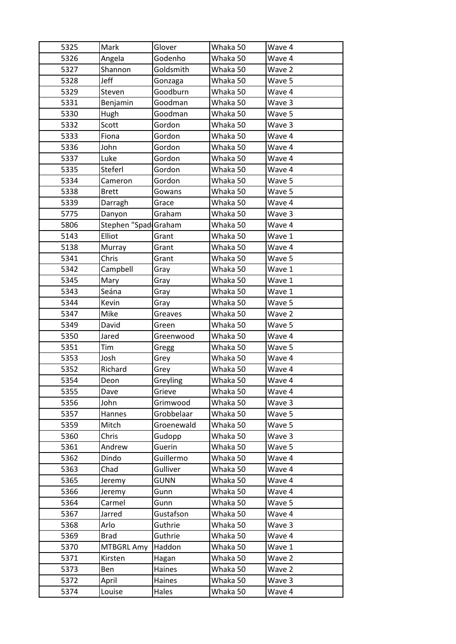| 5325 | Mark                 | Glover      | Whaka 50 | Wave 4 |
|------|----------------------|-------------|----------|--------|
| 5326 | Angela               | Godenho     | Whaka 50 | Wave 4 |
| 5327 | Shannon              | Goldsmith   | Whaka 50 | Wave 2 |
| 5328 | Jeff                 | Gonzaga     | Whaka 50 | Wave 5 |
| 5329 | Steven               | Goodburn    | Whaka 50 | Wave 4 |
| 5331 | Benjamin             | Goodman     | Whaka 50 | Wave 3 |
| 5330 | Hugh                 | Goodman     | Whaka 50 | Wave 5 |
| 5332 | Scott                | Gordon      | Whaka 50 | Wave 3 |
| 5333 | Fiona                | Gordon      | Whaka 50 | Wave 4 |
| 5336 | John                 | Gordon      | Whaka 50 | Wave 4 |
| 5337 | Luke                 | Gordon      | Whaka 50 | Wave 4 |
| 5335 | Steferl              | Gordon      | Whaka 50 | Wave 4 |
| 5334 | Cameron              | Gordon      | Whaka 50 | Wave 5 |
| 5338 | <b>Brett</b>         | Gowans      | Whaka 50 | Wave 5 |
| 5339 | Darragh              | Grace       | Whaka 50 | Wave 4 |
| 5775 | Danyon               | Graham      | Whaka 50 | Wave 3 |
| 5806 | Stephen "Spad Graham |             | Whaka 50 | Wave 4 |
| 5143 | Elliot               | Grant       | Whaka 50 | Wave 1 |
| 5138 | Murray               | Grant       | Whaka 50 | Wave 4 |
| 5341 | Chris                | Grant       | Whaka 50 | Wave 5 |
| 5342 | Campbell             | Gray        | Whaka 50 | Wave 1 |
| 5345 | Mary                 | Gray        | Whaka 50 | Wave 1 |
| 5343 | Seána                | Gray        | Whaka 50 | Wave 1 |
| 5344 | Kevin                | Gray        | Whaka 50 | Wave 5 |
| 5347 | Mike                 | Greaves     | Whaka 50 | Wave 2 |
| 5349 | David                | Green       | Whaka 50 | Wave 5 |
| 5350 | Jared                | Greenwood   | Whaka 50 | Wave 4 |
| 5351 | Tim                  | Gregg       | Whaka 50 | Wave 5 |
| 5353 | Josh                 | Grey        | Whaka 50 | Wave 4 |
| 5352 | Richard              | Grey        | Whaka 50 | Wave 4 |
| 5354 | Deon                 | Greyling    | Whaka 50 | Wave 4 |
| 5355 | Dave                 | Grieve      | Whaka 50 | Wave 4 |
| 5356 | John                 | Grimwood    | Whaka 50 | Wave 3 |
| 5357 | Hannes               | Grobbelaar  | Whaka 50 | Wave 5 |
| 5359 | Mitch                | Groenewald  | Whaka 50 | Wave 5 |
| 5360 | Chris                | Gudopp      | Whaka 50 | Wave 3 |
| 5361 | Andrew               | Guerin      | Whaka 50 | Wave 5 |
| 5362 | Dindo                | Guillermo   | Whaka 50 | Wave 4 |
| 5363 | Chad                 | Gulliver    | Whaka 50 | Wave 4 |
| 5365 | Jeremy               | <b>GUNN</b> | Whaka 50 | Wave 4 |
| 5366 | Jeremy               | Gunn        | Whaka 50 | Wave 4 |
| 5364 | Carmel               | Gunn        | Whaka 50 | Wave 5 |
| 5367 | Jarred               | Gustafson   | Whaka 50 | Wave 4 |
| 5368 | Arlo                 | Guthrie     | Whaka 50 | Wave 3 |
| 5369 | <b>Brad</b>          | Guthrie     | Whaka 50 | Wave 4 |
| 5370 | <b>MTBGRL Amy</b>    | Haddon      | Whaka 50 | Wave 1 |
| 5371 | Kirsten              | Hagan       | Whaka 50 | Wave 2 |
| 5373 | Ben                  | Haines      | Whaka 50 | Wave 2 |
| 5372 | April                | Haines      | Whaka 50 | Wave 3 |
|      |                      |             |          |        |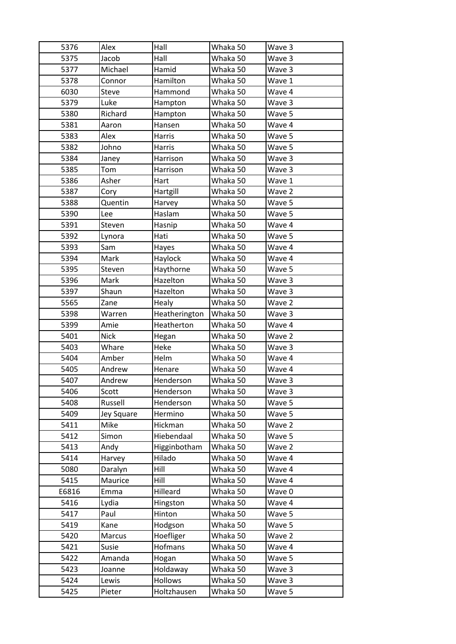| 5376  | Alex        | Hall          | Whaka 50 | Wave 3 |
|-------|-------------|---------------|----------|--------|
| 5375  | Jacob       | Hall          | Whaka 50 | Wave 3 |
| 5377  | Michael     | Hamid         | Whaka 50 | Wave 3 |
| 5378  | Connor      | Hamilton      | Whaka 50 | Wave 1 |
| 6030  | Steve       | Hammond       | Whaka 50 | Wave 4 |
| 5379  | Luke        | Hampton       | Whaka 50 | Wave 3 |
| 5380  | Richard     | Hampton       | Whaka 50 | Wave 5 |
| 5381  | Aaron       | Hansen        | Whaka 50 | Wave 4 |
| 5383  | Alex        | Harris        | Whaka 50 | Wave 5 |
| 5382  | Johno       | Harris        | Whaka 50 | Wave 5 |
| 5384  | Janey       | Harrison      | Whaka 50 | Wave 3 |
| 5385  | Tom         | Harrison      | Whaka 50 | Wave 3 |
| 5386  | Asher       | Hart          | Whaka 50 | Wave 1 |
| 5387  | Cory        | Hartgill      | Whaka 50 | Wave 2 |
| 5388  | Quentin     | Harvey        | Whaka 50 | Wave 5 |
| 5390  | Lee         | Haslam        | Whaka 50 | Wave 5 |
| 5391  | Steven      | Hasnip        | Whaka 50 | Wave 4 |
| 5392  | Lynora      | Hati          | Whaka 50 | Wave 5 |
| 5393  | Sam         | Hayes         | Whaka 50 | Wave 4 |
| 5394  | Mark        | Haylock       | Whaka 50 | Wave 4 |
| 5395  | Steven      | Haythorne     | Whaka 50 | Wave 5 |
| 5396  | Mark        | Hazelton      | Whaka 50 | Wave 3 |
| 5397  | Shaun       | Hazelton      | Whaka 50 | Wave 3 |
| 5565  | Zane        | Healy         | Whaka 50 | Wave 2 |
| 5398  | Warren      | Heatherington | Whaka 50 | Wave 3 |
| 5399  | Amie        | Heatherton    | Whaka 50 | Wave 4 |
| 5401  | <b>Nick</b> | Hegan         | Whaka 50 | Wave 2 |
| 5403  | Whare       | Heke          | Whaka 50 | Wave 3 |
| 5404  | Amber       | Helm          | Whaka 50 | Wave 4 |
| 5405  | Andrew      | Henare        | Whaka 50 | Wave 4 |
| 5407  | Andrew      | Henderson     | Whaka 50 | Wave 3 |
| 5406  | Scott       | Henderson     | Whaka 50 | Wave 3 |
| 5408  | Russell     | Henderson     | Whaka 50 | Wave 5 |
| 5409  | Jey Square  | Hermino       | Whaka 50 | Wave 5 |
| 5411  | Mike        | Hickman       | Whaka 50 | Wave 2 |
| 5412  | Simon       | Hiebendaal    | Whaka 50 | Wave 5 |
| 5413  | Andy        | Higginbotham  | Whaka 50 | Wave 2 |
| 5414  | Harvey      | Hilado        | Whaka 50 | Wave 4 |
| 5080  | Daralyn     | Hill          | Whaka 50 | Wave 4 |
| 5415  | Maurice     | Hill          | Whaka 50 | Wave 4 |
| E6816 | Emma        | Hilleard      | Whaka 50 | Wave 0 |
| 5416  | Lydia       | Hingston      | Whaka 50 | Wave 4 |
| 5417  | Paul        | Hinton        | Whaka 50 | Wave 5 |
| 5419  | Kane        | Hodgson       | Whaka 50 | Wave 5 |
| 5420  | Marcus      | Hoefliger     | Whaka 50 | Wave 2 |
| 5421  | Susie       | Hofmans       | Whaka 50 | Wave 4 |
| 5422  | Amanda      | Hogan         | Whaka 50 | Wave 5 |
| 5423  | Joanne      | Holdaway      | Whaka 50 | Wave 3 |
| 5424  | Lewis       | Hollows       | Whaka 50 | Wave 3 |
| 5425  | Pieter      | Holtzhausen   | Whaka 50 | Wave 5 |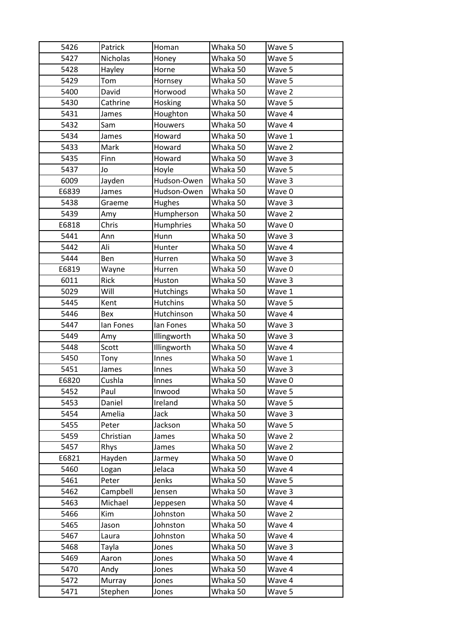| 5426         | Patrick     | Homan            | Whaka 50 | Wave 5 |
|--------------|-------------|------------------|----------|--------|
| 5427         | Nicholas    | Honey            | Whaka 50 | Wave 5 |
| 5428         | Hayley      | Horne            | Whaka 50 | Wave 5 |
| 5429         | Tom         | Hornsey          | Whaka 50 | Wave 5 |
| 5400         | David       | Horwood          | Whaka 50 | Wave 2 |
| 5430         | Cathrine    | Hosking          | Whaka 50 | Wave 5 |
| 5431         | James       | Houghton         | Whaka 50 | Wave 4 |
| 5432         | Sam         | Houwers          | Whaka 50 | Wave 4 |
| 5434         | James       | Howard           | Whaka 50 | Wave 1 |
| 5433         | Mark        | Howard           | Whaka 50 | Wave 2 |
| 5435         | Finn        | Howard           | Whaka 50 | Wave 3 |
| 5437         | Jo          | Hoyle            | Whaka 50 | Wave 5 |
| 6009         | Jayden      | Hudson-Owen      | Whaka 50 | Wave 3 |
| E6839        | James       | Hudson-Owen      | Whaka 50 | Wave 0 |
| 5438         | Graeme      | Hughes           | Whaka 50 | Wave 3 |
| 5439         | Amy         | Humpherson       | Whaka 50 | Wave 2 |
| E6818        | Chris       | Humphries        | Whaka 50 | Wave 0 |
| 5441         | Ann         | Hunn             | Whaka 50 | Wave 3 |
| 5442         | Ali         | Hunter           | Whaka 50 | Wave 4 |
| 5444         | Ben         | Hurren           | Whaka 50 | Wave 3 |
| E6819        | Wayne       | Hurren           | Whaka 50 | Wave 0 |
| 6011         | <b>Rick</b> | Huston           | Whaka 50 | Wave 3 |
| 5029         | Will        | <b>Hutchings</b> | Whaka 50 | Wave 1 |
| 5445         | Kent        | Hutchins         | Whaka 50 | Wave 5 |
| 5446         | Bex         | Hutchinson       | Whaka 50 | Wave 4 |
| 5447         | lan Fones   | lan Fones        | Whaka 50 | Wave 3 |
|              |             |                  |          |        |
| 5449         | Amy         | Illingworth      | Whaka 50 | Wave 3 |
| 5448         | Scott       | Illingworth      | Whaka 50 | Wave 4 |
| 5450         | Tony        | Innes            | Whaka 50 | Wave 1 |
| 5451         | James       | Innes            | Whaka 50 | Wave 3 |
| E6820        | Cushla      | Innes            | Whaka 50 | Wave 0 |
| 5452         | Paul        | Inwood           | Whaka 50 | Wave 5 |
| 5453         | Daniel      | Ireland          | Whaka 50 | Wave 5 |
| 5454         | Amelia      | Jack             | Whaka 50 | Wave 3 |
| 5455         | Peter       | Jackson          | Whaka 50 | Wave 5 |
| 5459         | Christian   | James            | Whaka 50 | Wave 2 |
| 5457         | Rhys        | James            | Whaka 50 | Wave 2 |
| E6821        | Hayden      | Jarmey           | Whaka 50 | Wave 0 |
| 5460         | Logan       | Jelaca           | Whaka 50 | Wave 4 |
| 5461         | Peter       | Jenks            | Whaka 50 | Wave 5 |
| 5462         | Campbell    | Jensen           | Whaka 50 | Wave 3 |
| 5463         | Michael     | Jeppesen         | Whaka 50 | Wave 4 |
| 5466         | Kim         | Johnston         | Whaka 50 | Wave 2 |
| 5465         | Jason       | Johnston         | Whaka 50 | Wave 4 |
| 5467         | Laura       | Johnston         | Whaka 50 | Wave 4 |
| 5468         | Tayla       | Jones            | Whaka 50 | Wave 3 |
| 5469         | Aaron       | Jones            | Whaka 50 | Wave 4 |
| 5470         | Andy        | Jones            | Whaka 50 | Wave 4 |
| 5472<br>5471 | Murray      | Jones            | Whaka 50 | Wave 4 |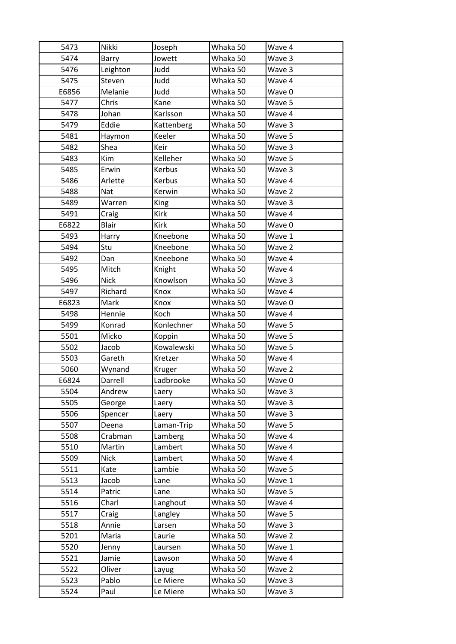| 5474<br>Whaka 50<br>Jowett<br>Wave 3<br>Barry<br>Judd<br>5476<br>Leighton<br>Whaka 50<br>Wave 3<br>5475<br>Judd<br>Whaka 50<br>Steven<br>Wave 4<br>Judd<br>E6856<br>Melanie<br>Whaka 50<br>Wave 0<br>5477<br>Chris<br>Kane<br>Whaka 50<br>Wave 5<br>Karlsson<br>Whaka 50<br>5478<br>Johan<br>Wave 4<br>Eddie<br>5479<br>Whaka 50<br>Wave 3<br>Kattenberg<br>5481<br>Keeler<br>Whaka 50<br>Wave 5<br>Haymon<br>Shea<br>Whaka 50<br>Wave 3<br>5482<br>Keir<br>Kelleher<br>Wave 5<br>5483<br>Kim<br>Whaka 50<br>Kerbus<br>Wave 3<br>5485<br>Erwin<br>Whaka 50<br>Kerbus<br>Whaka 50<br>5486<br>Arlette<br>Wave 4<br>Kerwin<br>5488<br><b>Nat</b><br>Whaka 50<br>Wave 2<br>Warren<br>Wave 3<br>5489<br>King<br>Whaka 50<br>Kirk<br>5491<br>Whaka 50<br>Wave 4<br>Craig<br>E6822<br><b>Blair</b><br><b>Kirk</b><br>Whaka 50<br>Wave 0<br>Kneebone<br>Whaka 50<br>5493<br>Harry<br>Wave 1<br>Stu<br>Wave 2<br>5494<br>Kneebone<br>Whaka 50<br>5492<br>Kneebone<br>Whaka 50<br>Wave 4<br>Dan<br>5495<br>Mitch<br>Knight<br>Whaka 50<br>Wave 4<br>Knowlson<br>5496<br><b>Nick</b><br>Whaka 50<br>Wave 3<br>5497<br>Richard<br>Knox<br>Whaka 50<br>Wave 4<br>Whaka 50<br>E6823<br>Mark<br>Knox<br>Wave 0<br>Hennie<br>Whaka 50<br>5498<br>Koch<br>Wave 4<br>Konrad<br>Konlechner<br>Whaka 50<br>Wave 5<br>5499<br>5501<br>Micko<br>Whaka 50<br>Wave 5<br>Koppin<br>Kowalewski<br>5502<br>Jacob<br>Whaka 50<br>Wave 5<br>5503<br>Gareth<br>Kretzer<br>Whaka 50<br>Wave 4<br>5060<br>Wynand<br>Whaka 50<br>Wave 2<br>Kruger<br>Ladbrooke<br>Whaka 50<br>E6824<br>Darrell<br>Wave 0<br>5504<br>Whaka 50<br>Wave 3<br>Andrew<br>Laery<br>5505<br>Whaka 50<br>Wave 3<br>George<br>Laery<br>Whaka 50<br>Wave 3<br>5506<br>Spencer<br>Laery<br>Whaka 50<br>Wave 5<br>5507<br>Laman-Trip<br>Deena<br>5508<br>Crabman<br>Whaka 50<br>Wave 4<br>Lamberg<br>Wave 4<br>5510<br>Martin<br>Lambert<br>Whaka 50<br>5509<br><b>Nick</b><br>Lambert<br>Whaka 50<br>Wave 4<br>Lambie<br>Whaka 50<br>Wave 5<br>5511<br>Kate<br>5513<br>Jacob<br>Whaka 50<br>Wave 1<br>Lane<br>5514<br>Whaka 50<br>Wave 5<br>Patric<br>Lane<br>5516<br>Charl<br>Whaka 50<br>Wave 4<br>Langhout<br>Whaka 50<br>Wave 5<br>5517<br>Langley<br>Craig<br>5518<br>Annie<br>Whaka 50<br>Wave 3<br>Larsen<br>Wave 2<br>5201<br>Whaka 50<br>Maria<br>Laurie<br>Whaka 50<br>5520<br>Wave 1<br>Jenny<br>Laursen<br>Whaka 50<br>5521<br>Jamie<br>Wave 4<br>Lawson<br>5522<br>Whaka 50<br>Wave 2<br>Oliver<br>Layug<br>5523<br>Pablo<br>Le Miere<br>Whaka 50<br>Wave 3<br>Paul<br>Whaka 50<br>Wave 3<br>Le Miere | 5473 | Nikki | Joseph | Whaka 50 | Wave 4 |
|--------------------------------------------------------------------------------------------------------------------------------------------------------------------------------------------------------------------------------------------------------------------------------------------------------------------------------------------------------------------------------------------------------------------------------------------------------------------------------------------------------------------------------------------------------------------------------------------------------------------------------------------------------------------------------------------------------------------------------------------------------------------------------------------------------------------------------------------------------------------------------------------------------------------------------------------------------------------------------------------------------------------------------------------------------------------------------------------------------------------------------------------------------------------------------------------------------------------------------------------------------------------------------------------------------------------------------------------------------------------------------------------------------------------------------------------------------------------------------------------------------------------------------------------------------------------------------------------------------------------------------------------------------------------------------------------------------------------------------------------------------------------------------------------------------------------------------------------------------------------------------------------------------------------------------------------------------------------------------------------------------------------------------------------------------------------------------------------------------------------------------------------------------------------------------------------------------------------------------------------------------------------------------------------------------------------------------------------------------------------------------------------------------------------------------------------------------------------------------------------------------------------------------------------------------|------|-------|--------|----------|--------|
|                                                                                                                                                                                                                                                                                                                                                                                                                                                                                                                                                                                                                                                                                                                                                                                                                                                                                                                                                                                                                                                                                                                                                                                                                                                                                                                                                                                                                                                                                                                                                                                                                                                                                                                                                                                                                                                                                                                                                                                                                                                                                                                                                                                                                                                                                                                                                                                                                                                                                                                                                        |      |       |        |          |        |
|                                                                                                                                                                                                                                                                                                                                                                                                                                                                                                                                                                                                                                                                                                                                                                                                                                                                                                                                                                                                                                                                                                                                                                                                                                                                                                                                                                                                                                                                                                                                                                                                                                                                                                                                                                                                                                                                                                                                                                                                                                                                                                                                                                                                                                                                                                                                                                                                                                                                                                                                                        |      |       |        |          |        |
|                                                                                                                                                                                                                                                                                                                                                                                                                                                                                                                                                                                                                                                                                                                                                                                                                                                                                                                                                                                                                                                                                                                                                                                                                                                                                                                                                                                                                                                                                                                                                                                                                                                                                                                                                                                                                                                                                                                                                                                                                                                                                                                                                                                                                                                                                                                                                                                                                                                                                                                                                        |      |       |        |          |        |
|                                                                                                                                                                                                                                                                                                                                                                                                                                                                                                                                                                                                                                                                                                                                                                                                                                                                                                                                                                                                                                                                                                                                                                                                                                                                                                                                                                                                                                                                                                                                                                                                                                                                                                                                                                                                                                                                                                                                                                                                                                                                                                                                                                                                                                                                                                                                                                                                                                                                                                                                                        |      |       |        |          |        |
|                                                                                                                                                                                                                                                                                                                                                                                                                                                                                                                                                                                                                                                                                                                                                                                                                                                                                                                                                                                                                                                                                                                                                                                                                                                                                                                                                                                                                                                                                                                                                                                                                                                                                                                                                                                                                                                                                                                                                                                                                                                                                                                                                                                                                                                                                                                                                                                                                                                                                                                                                        |      |       |        |          |        |
|                                                                                                                                                                                                                                                                                                                                                                                                                                                                                                                                                                                                                                                                                                                                                                                                                                                                                                                                                                                                                                                                                                                                                                                                                                                                                                                                                                                                                                                                                                                                                                                                                                                                                                                                                                                                                                                                                                                                                                                                                                                                                                                                                                                                                                                                                                                                                                                                                                                                                                                                                        |      |       |        |          |        |
|                                                                                                                                                                                                                                                                                                                                                                                                                                                                                                                                                                                                                                                                                                                                                                                                                                                                                                                                                                                                                                                                                                                                                                                                                                                                                                                                                                                                                                                                                                                                                                                                                                                                                                                                                                                                                                                                                                                                                                                                                                                                                                                                                                                                                                                                                                                                                                                                                                                                                                                                                        |      |       |        |          |        |
|                                                                                                                                                                                                                                                                                                                                                                                                                                                                                                                                                                                                                                                                                                                                                                                                                                                                                                                                                                                                                                                                                                                                                                                                                                                                                                                                                                                                                                                                                                                                                                                                                                                                                                                                                                                                                                                                                                                                                                                                                                                                                                                                                                                                                                                                                                                                                                                                                                                                                                                                                        |      |       |        |          |        |
|                                                                                                                                                                                                                                                                                                                                                                                                                                                                                                                                                                                                                                                                                                                                                                                                                                                                                                                                                                                                                                                                                                                                                                                                                                                                                                                                                                                                                                                                                                                                                                                                                                                                                                                                                                                                                                                                                                                                                                                                                                                                                                                                                                                                                                                                                                                                                                                                                                                                                                                                                        |      |       |        |          |        |
|                                                                                                                                                                                                                                                                                                                                                                                                                                                                                                                                                                                                                                                                                                                                                                                                                                                                                                                                                                                                                                                                                                                                                                                                                                                                                                                                                                                                                                                                                                                                                                                                                                                                                                                                                                                                                                                                                                                                                                                                                                                                                                                                                                                                                                                                                                                                                                                                                                                                                                                                                        |      |       |        |          |        |
|                                                                                                                                                                                                                                                                                                                                                                                                                                                                                                                                                                                                                                                                                                                                                                                                                                                                                                                                                                                                                                                                                                                                                                                                                                                                                                                                                                                                                                                                                                                                                                                                                                                                                                                                                                                                                                                                                                                                                                                                                                                                                                                                                                                                                                                                                                                                                                                                                                                                                                                                                        |      |       |        |          |        |
|                                                                                                                                                                                                                                                                                                                                                                                                                                                                                                                                                                                                                                                                                                                                                                                                                                                                                                                                                                                                                                                                                                                                                                                                                                                                                                                                                                                                                                                                                                                                                                                                                                                                                                                                                                                                                                                                                                                                                                                                                                                                                                                                                                                                                                                                                                                                                                                                                                                                                                                                                        |      |       |        |          |        |
|                                                                                                                                                                                                                                                                                                                                                                                                                                                                                                                                                                                                                                                                                                                                                                                                                                                                                                                                                                                                                                                                                                                                                                                                                                                                                                                                                                                                                                                                                                                                                                                                                                                                                                                                                                                                                                                                                                                                                                                                                                                                                                                                                                                                                                                                                                                                                                                                                                                                                                                                                        |      |       |        |          |        |
|                                                                                                                                                                                                                                                                                                                                                                                                                                                                                                                                                                                                                                                                                                                                                                                                                                                                                                                                                                                                                                                                                                                                                                                                                                                                                                                                                                                                                                                                                                                                                                                                                                                                                                                                                                                                                                                                                                                                                                                                                                                                                                                                                                                                                                                                                                                                                                                                                                                                                                                                                        |      |       |        |          |        |
|                                                                                                                                                                                                                                                                                                                                                                                                                                                                                                                                                                                                                                                                                                                                                                                                                                                                                                                                                                                                                                                                                                                                                                                                                                                                                                                                                                                                                                                                                                                                                                                                                                                                                                                                                                                                                                                                                                                                                                                                                                                                                                                                                                                                                                                                                                                                                                                                                                                                                                                                                        |      |       |        |          |        |
|                                                                                                                                                                                                                                                                                                                                                                                                                                                                                                                                                                                                                                                                                                                                                                                                                                                                                                                                                                                                                                                                                                                                                                                                                                                                                                                                                                                                                                                                                                                                                                                                                                                                                                                                                                                                                                                                                                                                                                                                                                                                                                                                                                                                                                                                                                                                                                                                                                                                                                                                                        |      |       |        |          |        |
|                                                                                                                                                                                                                                                                                                                                                                                                                                                                                                                                                                                                                                                                                                                                                                                                                                                                                                                                                                                                                                                                                                                                                                                                                                                                                                                                                                                                                                                                                                                                                                                                                                                                                                                                                                                                                                                                                                                                                                                                                                                                                                                                                                                                                                                                                                                                                                                                                                                                                                                                                        |      |       |        |          |        |
|                                                                                                                                                                                                                                                                                                                                                                                                                                                                                                                                                                                                                                                                                                                                                                                                                                                                                                                                                                                                                                                                                                                                                                                                                                                                                                                                                                                                                                                                                                                                                                                                                                                                                                                                                                                                                                                                                                                                                                                                                                                                                                                                                                                                                                                                                                                                                                                                                                                                                                                                                        |      |       |        |          |        |
|                                                                                                                                                                                                                                                                                                                                                                                                                                                                                                                                                                                                                                                                                                                                                                                                                                                                                                                                                                                                                                                                                                                                                                                                                                                                                                                                                                                                                                                                                                                                                                                                                                                                                                                                                                                                                                                                                                                                                                                                                                                                                                                                                                                                                                                                                                                                                                                                                                                                                                                                                        |      |       |        |          |        |
|                                                                                                                                                                                                                                                                                                                                                                                                                                                                                                                                                                                                                                                                                                                                                                                                                                                                                                                                                                                                                                                                                                                                                                                                                                                                                                                                                                                                                                                                                                                                                                                                                                                                                                                                                                                                                                                                                                                                                                                                                                                                                                                                                                                                                                                                                                                                                                                                                                                                                                                                                        |      |       |        |          |        |
|                                                                                                                                                                                                                                                                                                                                                                                                                                                                                                                                                                                                                                                                                                                                                                                                                                                                                                                                                                                                                                                                                                                                                                                                                                                                                                                                                                                                                                                                                                                                                                                                                                                                                                                                                                                                                                                                                                                                                                                                                                                                                                                                                                                                                                                                                                                                                                                                                                                                                                                                                        |      |       |        |          |        |
|                                                                                                                                                                                                                                                                                                                                                                                                                                                                                                                                                                                                                                                                                                                                                                                                                                                                                                                                                                                                                                                                                                                                                                                                                                                                                                                                                                                                                                                                                                                                                                                                                                                                                                                                                                                                                                                                                                                                                                                                                                                                                                                                                                                                                                                                                                                                                                                                                                                                                                                                                        |      |       |        |          |        |
|                                                                                                                                                                                                                                                                                                                                                                                                                                                                                                                                                                                                                                                                                                                                                                                                                                                                                                                                                                                                                                                                                                                                                                                                                                                                                                                                                                                                                                                                                                                                                                                                                                                                                                                                                                                                                                                                                                                                                                                                                                                                                                                                                                                                                                                                                                                                                                                                                                                                                                                                                        |      |       |        |          |        |
|                                                                                                                                                                                                                                                                                                                                                                                                                                                                                                                                                                                                                                                                                                                                                                                                                                                                                                                                                                                                                                                                                                                                                                                                                                                                                                                                                                                                                                                                                                                                                                                                                                                                                                                                                                                                                                                                                                                                                                                                                                                                                                                                                                                                                                                                                                                                                                                                                                                                                                                                                        |      |       |        |          |        |
|                                                                                                                                                                                                                                                                                                                                                                                                                                                                                                                                                                                                                                                                                                                                                                                                                                                                                                                                                                                                                                                                                                                                                                                                                                                                                                                                                                                                                                                                                                                                                                                                                                                                                                                                                                                                                                                                                                                                                                                                                                                                                                                                                                                                                                                                                                                                                                                                                                                                                                                                                        |      |       |        |          |        |
|                                                                                                                                                                                                                                                                                                                                                                                                                                                                                                                                                                                                                                                                                                                                                                                                                                                                                                                                                                                                                                                                                                                                                                                                                                                                                                                                                                                                                                                                                                                                                                                                                                                                                                                                                                                                                                                                                                                                                                                                                                                                                                                                                                                                                                                                                                                                                                                                                                                                                                                                                        |      |       |        |          |        |
|                                                                                                                                                                                                                                                                                                                                                                                                                                                                                                                                                                                                                                                                                                                                                                                                                                                                                                                                                                                                                                                                                                                                                                                                                                                                                                                                                                                                                                                                                                                                                                                                                                                                                                                                                                                                                                                                                                                                                                                                                                                                                                                                                                                                                                                                                                                                                                                                                                                                                                                                                        |      |       |        |          |        |
|                                                                                                                                                                                                                                                                                                                                                                                                                                                                                                                                                                                                                                                                                                                                                                                                                                                                                                                                                                                                                                                                                                                                                                                                                                                                                                                                                                                                                                                                                                                                                                                                                                                                                                                                                                                                                                                                                                                                                                                                                                                                                                                                                                                                                                                                                                                                                                                                                                                                                                                                                        |      |       |        |          |        |
|                                                                                                                                                                                                                                                                                                                                                                                                                                                                                                                                                                                                                                                                                                                                                                                                                                                                                                                                                                                                                                                                                                                                                                                                                                                                                                                                                                                                                                                                                                                                                                                                                                                                                                                                                                                                                                                                                                                                                                                                                                                                                                                                                                                                                                                                                                                                                                                                                                                                                                                                                        |      |       |        |          |        |
|                                                                                                                                                                                                                                                                                                                                                                                                                                                                                                                                                                                                                                                                                                                                                                                                                                                                                                                                                                                                                                                                                                                                                                                                                                                                                                                                                                                                                                                                                                                                                                                                                                                                                                                                                                                                                                                                                                                                                                                                                                                                                                                                                                                                                                                                                                                                                                                                                                                                                                                                                        |      |       |        |          |        |
|                                                                                                                                                                                                                                                                                                                                                                                                                                                                                                                                                                                                                                                                                                                                                                                                                                                                                                                                                                                                                                                                                                                                                                                                                                                                                                                                                                                                                                                                                                                                                                                                                                                                                                                                                                                                                                                                                                                                                                                                                                                                                                                                                                                                                                                                                                                                                                                                                                                                                                                                                        |      |       |        |          |        |
|                                                                                                                                                                                                                                                                                                                                                                                                                                                                                                                                                                                                                                                                                                                                                                                                                                                                                                                                                                                                                                                                                                                                                                                                                                                                                                                                                                                                                                                                                                                                                                                                                                                                                                                                                                                                                                                                                                                                                                                                                                                                                                                                                                                                                                                                                                                                                                                                                                                                                                                                                        |      |       |        |          |        |
|                                                                                                                                                                                                                                                                                                                                                                                                                                                                                                                                                                                                                                                                                                                                                                                                                                                                                                                                                                                                                                                                                                                                                                                                                                                                                                                                                                                                                                                                                                                                                                                                                                                                                                                                                                                                                                                                                                                                                                                                                                                                                                                                                                                                                                                                                                                                                                                                                                                                                                                                                        |      |       |        |          |        |
|                                                                                                                                                                                                                                                                                                                                                                                                                                                                                                                                                                                                                                                                                                                                                                                                                                                                                                                                                                                                                                                                                                                                                                                                                                                                                                                                                                                                                                                                                                                                                                                                                                                                                                                                                                                                                                                                                                                                                                                                                                                                                                                                                                                                                                                                                                                                                                                                                                                                                                                                                        |      |       |        |          |        |
|                                                                                                                                                                                                                                                                                                                                                                                                                                                                                                                                                                                                                                                                                                                                                                                                                                                                                                                                                                                                                                                                                                                                                                                                                                                                                                                                                                                                                                                                                                                                                                                                                                                                                                                                                                                                                                                                                                                                                                                                                                                                                                                                                                                                                                                                                                                                                                                                                                                                                                                                                        |      |       |        |          |        |
|                                                                                                                                                                                                                                                                                                                                                                                                                                                                                                                                                                                                                                                                                                                                                                                                                                                                                                                                                                                                                                                                                                                                                                                                                                                                                                                                                                                                                                                                                                                                                                                                                                                                                                                                                                                                                                                                                                                                                                                                                                                                                                                                                                                                                                                                                                                                                                                                                                                                                                                                                        |      |       |        |          |        |
|                                                                                                                                                                                                                                                                                                                                                                                                                                                                                                                                                                                                                                                                                                                                                                                                                                                                                                                                                                                                                                                                                                                                                                                                                                                                                                                                                                                                                                                                                                                                                                                                                                                                                                                                                                                                                                                                                                                                                                                                                                                                                                                                                                                                                                                                                                                                                                                                                                                                                                                                                        |      |       |        |          |        |
|                                                                                                                                                                                                                                                                                                                                                                                                                                                                                                                                                                                                                                                                                                                                                                                                                                                                                                                                                                                                                                                                                                                                                                                                                                                                                                                                                                                                                                                                                                                                                                                                                                                                                                                                                                                                                                                                                                                                                                                                                                                                                                                                                                                                                                                                                                                                                                                                                                                                                                                                                        |      |       |        |          |        |
|                                                                                                                                                                                                                                                                                                                                                                                                                                                                                                                                                                                                                                                                                                                                                                                                                                                                                                                                                                                                                                                                                                                                                                                                                                                                                                                                                                                                                                                                                                                                                                                                                                                                                                                                                                                                                                                                                                                                                                                                                                                                                                                                                                                                                                                                                                                                                                                                                                                                                                                                                        |      |       |        |          |        |
|                                                                                                                                                                                                                                                                                                                                                                                                                                                                                                                                                                                                                                                                                                                                                                                                                                                                                                                                                                                                                                                                                                                                                                                                                                                                                                                                                                                                                                                                                                                                                                                                                                                                                                                                                                                                                                                                                                                                                                                                                                                                                                                                                                                                                                                                                                                                                                                                                                                                                                                                                        |      |       |        |          |        |
|                                                                                                                                                                                                                                                                                                                                                                                                                                                                                                                                                                                                                                                                                                                                                                                                                                                                                                                                                                                                                                                                                                                                                                                                                                                                                                                                                                                                                                                                                                                                                                                                                                                                                                                                                                                                                                                                                                                                                                                                                                                                                                                                                                                                                                                                                                                                                                                                                                                                                                                                                        |      |       |        |          |        |
|                                                                                                                                                                                                                                                                                                                                                                                                                                                                                                                                                                                                                                                                                                                                                                                                                                                                                                                                                                                                                                                                                                                                                                                                                                                                                                                                                                                                                                                                                                                                                                                                                                                                                                                                                                                                                                                                                                                                                                                                                                                                                                                                                                                                                                                                                                                                                                                                                                                                                                                                                        |      |       |        |          |        |
|                                                                                                                                                                                                                                                                                                                                                                                                                                                                                                                                                                                                                                                                                                                                                                                                                                                                                                                                                                                                                                                                                                                                                                                                                                                                                                                                                                                                                                                                                                                                                                                                                                                                                                                                                                                                                                                                                                                                                                                                                                                                                                                                                                                                                                                                                                                                                                                                                                                                                                                                                        |      |       |        |          |        |
|                                                                                                                                                                                                                                                                                                                                                                                                                                                                                                                                                                                                                                                                                                                                                                                                                                                                                                                                                                                                                                                                                                                                                                                                                                                                                                                                                                                                                                                                                                                                                                                                                                                                                                                                                                                                                                                                                                                                                                                                                                                                                                                                                                                                                                                                                                                                                                                                                                                                                                                                                        |      |       |        |          |        |
|                                                                                                                                                                                                                                                                                                                                                                                                                                                                                                                                                                                                                                                                                                                                                                                                                                                                                                                                                                                                                                                                                                                                                                                                                                                                                                                                                                                                                                                                                                                                                                                                                                                                                                                                                                                                                                                                                                                                                                                                                                                                                                                                                                                                                                                                                                                                                                                                                                                                                                                                                        |      |       |        |          |        |
|                                                                                                                                                                                                                                                                                                                                                                                                                                                                                                                                                                                                                                                                                                                                                                                                                                                                                                                                                                                                                                                                                                                                                                                                                                                                                                                                                                                                                                                                                                                                                                                                                                                                                                                                                                                                                                                                                                                                                                                                                                                                                                                                                                                                                                                                                                                                                                                                                                                                                                                                                        |      |       |        |          |        |
|                                                                                                                                                                                                                                                                                                                                                                                                                                                                                                                                                                                                                                                                                                                                                                                                                                                                                                                                                                                                                                                                                                                                                                                                                                                                                                                                                                                                                                                                                                                                                                                                                                                                                                                                                                                                                                                                                                                                                                                                                                                                                                                                                                                                                                                                                                                                                                                                                                                                                                                                                        |      |       |        |          |        |
|                                                                                                                                                                                                                                                                                                                                                                                                                                                                                                                                                                                                                                                                                                                                                                                                                                                                                                                                                                                                                                                                                                                                                                                                                                                                                                                                                                                                                                                                                                                                                                                                                                                                                                                                                                                                                                                                                                                                                                                                                                                                                                                                                                                                                                                                                                                                                                                                                                                                                                                                                        |      |       |        |          |        |
|                                                                                                                                                                                                                                                                                                                                                                                                                                                                                                                                                                                                                                                                                                                                                                                                                                                                                                                                                                                                                                                                                                                                                                                                                                                                                                                                                                                                                                                                                                                                                                                                                                                                                                                                                                                                                                                                                                                                                                                                                                                                                                                                                                                                                                                                                                                                                                                                                                                                                                                                                        | 5524 |       |        |          |        |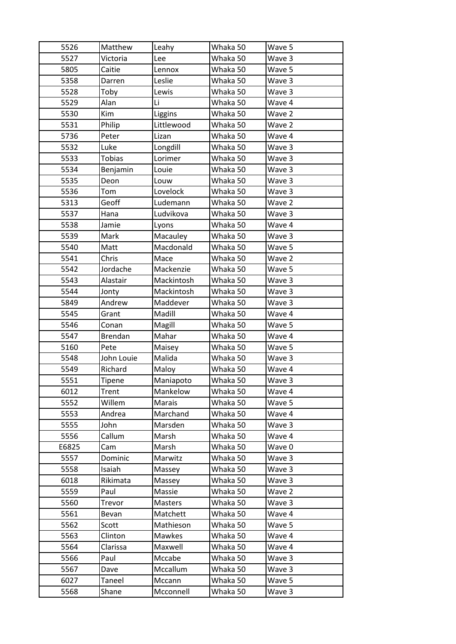| 5526  | Matthew         | Leahy         | Whaka 50 | Wave 5 |
|-------|-----------------|---------------|----------|--------|
| 5527  | Victoria        | Lee           | Whaka 50 | Wave 3 |
| 5805  | Caitie          | Lennox        | Whaka 50 | Wave 5 |
| 5358  | Darren          | Leslie        | Whaka 50 | Wave 3 |
| 5528  | Toby            | Lewis         | Whaka 50 | Wave 3 |
| 5529  | Alan            | Li            | Whaka 50 | Wave 4 |
| 5530  | Kim             | Liggins       | Whaka 50 | Wave 2 |
| 5531  | Philip          | Littlewood    | Whaka 50 | Wave 2 |
| 5736  | Peter           | Lizan         | Whaka 50 | Wave 4 |
| 5532  | Luke            | Longdill      | Whaka 50 | Wave 3 |
| 5533  | <b>Tobias</b>   | Lorimer       | Whaka 50 | Wave 3 |
| 5534  | Benjamin        | Louie         | Whaka 50 | Wave 3 |
| 5535  | Deon            | Louw          | Whaka 50 | Wave 3 |
| 5536  | Tom             | Lovelock      | Whaka 50 | Wave 3 |
| 5313  | Geoff           | Ludemann      | Whaka 50 | Wave 2 |
| 5537  | Hana            | Ludvikova     | Whaka 50 | Wave 3 |
| 5538  | Jamie           | Lyons         | Whaka 50 | Wave 4 |
| 5539  | Mark            | Macauley      | Whaka 50 | Wave 3 |
| 5540  | Matt            | Macdonald     | Whaka 50 | Wave 5 |
| 5541  | Chris           | Mace          | Whaka 50 | Wave 2 |
| 5542  | Jordache        | Mackenzie     | Whaka 50 | Wave 5 |
| 5543  | Alastair        | Mackintosh    | Whaka 50 | Wave 3 |
| 5544  | Jonty           | Mackintosh    | Whaka 50 | Wave 3 |
| 5849  | Andrew          | Maddever      | Whaka 50 | Wave 3 |
| 5545  | Grant           | Madill        | Whaka 50 | Wave 4 |
| 5546  | Conan           | Magill        | Whaka 50 | Wave 5 |
| 5547  | <b>Brendan</b>  | Mahar         | Whaka 50 | Wave 4 |
| 5160  | Pete            | Maisey        | Whaka 50 | Wave 5 |
| 5548  | John Louie      | Malida        | Whaka 50 | Wave 3 |
| 5549  | Richard         | Maloy         | Whaka 50 | Wave 4 |
| 5551  | Tipene          | Maniapoto     | Whaka 50 | Wave 3 |
| 6012  | Trent           | Mankelow      |          |        |
| 5552  |                 |               | Whaka 50 | Wave 4 |
|       | Willem          | Marais        | Whaka 50 | Wave 5 |
| 5553  | Andrea          | Marchand      | Whaka 50 | Wave 4 |
| 5555  | John            | Marsden       | Whaka 50 | Wave 3 |
| 5556  | Callum          | Marsh         | Whaka 50 | Wave 4 |
| E6825 | Cam             | Marsh         | Whaka 50 | Wave 0 |
| 5557  | Dominic         | Marwitz       | Whaka 50 | Wave 3 |
| 5558  | Isaiah          | Massey        | Whaka 50 | Wave 3 |
| 6018  | Rikimata        | Massey        | Whaka 50 | Wave 3 |
| 5559  | Paul            | Massie        | Whaka 50 | Wave 2 |
| 5560  | Trevor          | Masters       | Whaka 50 | Wave 3 |
| 5561  | Bevan           | Matchett      | Whaka 50 | Wave 4 |
| 5562  | Scott           | Mathieson     | Whaka 50 | Wave 5 |
| 5563  | Clinton         | <b>Mawkes</b> | Whaka 50 | Wave 4 |
| 5564  | Clarissa        | Maxwell       | Whaka 50 | Wave 4 |
| 5566  | Paul            | Mccabe        | Whaka 50 | Wave 3 |
| 5567  | Dave            | Mccallum      | Whaka 50 | Wave 3 |
| 6027  | Taneel<br>Shane | Mccann        | Whaka 50 | Wave 5 |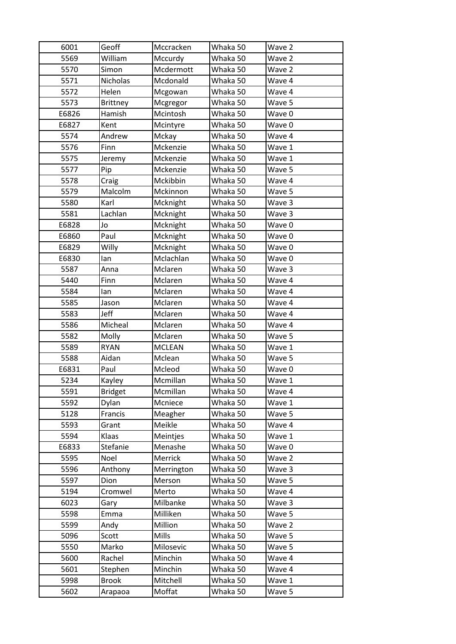| 6001  | Geoff           | Mccracken     | Whaka 50 | Wave 2 |
|-------|-----------------|---------------|----------|--------|
| 5569  | William         | Mccurdy       | Whaka 50 | Wave 2 |
| 5570  | Simon           | Mcdermott     | Whaka 50 | Wave 2 |
| 5571  | Nicholas        | Mcdonald      | Whaka 50 | Wave 4 |
| 5572  | Helen           | Mcgowan       | Whaka 50 | Wave 4 |
| 5573  | <b>Brittney</b> | Mcgregor      | Whaka 50 | Wave 5 |
| E6826 | Hamish          | Mcintosh      | Whaka 50 | Wave 0 |
| E6827 | Kent            | Mcintyre      | Whaka 50 | Wave 0 |
| 5574  | Andrew          | Mckay         | Whaka 50 | Wave 4 |
| 5576  | Finn            | Mckenzie      | Whaka 50 | Wave 1 |
| 5575  | Jeremy          | Mckenzie      | Whaka 50 | Wave 1 |
| 5577  | Pip             | Mckenzie      | Whaka 50 | Wave 5 |
| 5578  | Craig           | Mckibbin      | Whaka 50 | Wave 4 |
| 5579  | Malcolm         | Mckinnon      | Whaka 50 | Wave 5 |
| 5580  | Karl            | Mcknight      | Whaka 50 | Wave 3 |
| 5581  | Lachlan         | Mcknight      | Whaka 50 | Wave 3 |
| E6828 | Jo              | Mcknight      | Whaka 50 | Wave 0 |
| E6860 | Paul            | Mcknight      | Whaka 50 | Wave 0 |
| E6829 | Willy           | Mcknight      | Whaka 50 | Wave 0 |
| E6830 | lan             | Mclachlan     | Whaka 50 | Wave 0 |
| 5587  | Anna            | Mclaren       | Whaka 50 | Wave 3 |
| 5440  | Finn            | Mclaren       | Whaka 50 | Wave 4 |
| 5584  | lan             | Mclaren       | Whaka 50 | Wave 4 |
| 5585  | Jason           | Mclaren       | Whaka 50 | Wave 4 |
| 5583  | Jeff            | Mclaren       | Whaka 50 | Wave 4 |
| 5586  | Micheal         | Mclaren       | Whaka 50 | Wave 4 |
| 5582  | Molly           | Mclaren       | Whaka 50 | Wave 5 |
| 5589  | <b>RYAN</b>     | <b>MCLEAN</b> | Whaka 50 | Wave 1 |
| 5588  | Aidan           | Mclean        | Whaka 50 | Wave 5 |
| E6831 | Paul            | Mcleod        | Whaka 50 | Wave 0 |
| 5234  | Kayley          | Mcmillan      | Whaka 50 | Wave 1 |
| 5591  | <b>Bridget</b>  | Mcmillan      | Whaka 50 | Wave 4 |
| 5592  | Dylan           | Mcniece       | Whaka 50 | Wave 1 |
| 5128  | Francis         | Meagher       | Whaka 50 | Wave 5 |
| 5593  | Grant           | Meikle        | Whaka 50 | Wave 4 |
| 5594  | Klaas           | Meintjes      | Whaka 50 | Wave 1 |
| E6833 | Stefanie        | Menashe       | Whaka 50 | Wave 0 |
| 5595  | Noel            | Merrick       | Whaka 50 | Wave 2 |
| 5596  | Anthony         | Merrington    | Whaka 50 | Wave 3 |
| 5597  | Dion            | Merson        | Whaka 50 | Wave 5 |
| 5194  | Cromwel         | Merto         | Whaka 50 | Wave 4 |
| 6023  | Gary            | Milbanke      | Whaka 50 | Wave 3 |
| 5598  | Emma            | Milliken      | Whaka 50 | Wave 5 |
| 5599  | Andy            | Million       | Whaka 50 | Wave 2 |
| 5096  | Scott           | Mills         | Whaka 50 | Wave 5 |
| 5550  | Marko           | Milosevic     | Whaka 50 | Wave 5 |
| 5600  | Rachel          | Minchin       | Whaka 50 | Wave 4 |
| 5601  | Stephen         | Minchin       | Whaka 50 | Wave 4 |
| 5998  | <b>Brook</b>    | Mitchell      | Whaka 50 | Wave 1 |
|       |                 | Moffat        | Whaka 50 | Wave 5 |
| 5602  | Arapaoa         |               |          |        |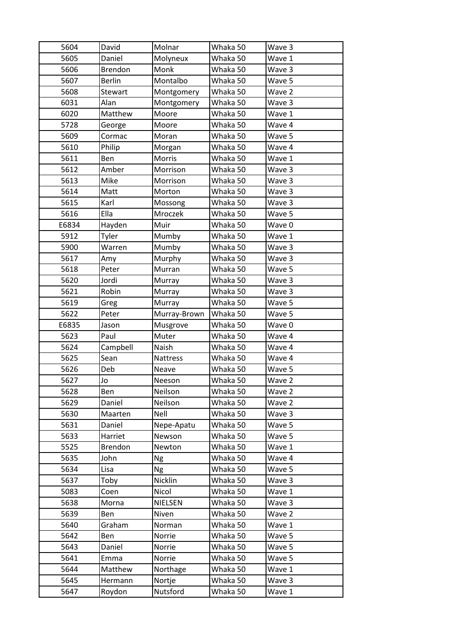| 5604  | David          | Molnar          | Whaka 50 | Wave 3 |
|-------|----------------|-----------------|----------|--------|
| 5605  | Daniel         | Molyneux        | Whaka 50 | Wave 1 |
| 5606  | <b>Brendon</b> | Monk            | Whaka 50 | Wave 3 |
| 5607  | <b>Berlin</b>  | Montalbo        | Whaka 50 | Wave 5 |
| 5608  | Stewart        | Montgomery      | Whaka 50 | Wave 2 |
| 6031  | Alan           | Montgomery      | Whaka 50 | Wave 3 |
| 6020  | Matthew        | Moore           | Whaka 50 | Wave 1 |
| 5728  | George         | Moore           | Whaka 50 | Wave 4 |
| 5609  | Cormac         | Moran           | Whaka 50 | Wave 5 |
| 5610  | Philip         | Morgan          | Whaka 50 | Wave 4 |
| 5611  | Ben            | Morris          | Whaka 50 | Wave 1 |
| 5612  | Amber          | Morrison        | Whaka 50 | Wave 3 |
| 5613  | Mike           | Morrison        | Whaka 50 | Wave 3 |
| 5614  | Matt           | Morton          | Whaka 50 | Wave 3 |
| 5615  | Karl           | Mossong         | Whaka 50 | Wave 3 |
| 5616  | Ella           | Mroczek         | Whaka 50 | Wave 5 |
| E6834 | Hayden         | Muir            | Whaka 50 | Wave 0 |
| 5912  | Tyler          | Mumby           | Whaka 50 | Wave 1 |
| 5900  | Warren         | Mumby           | Whaka 50 | Wave 3 |
| 5617  | Amy            | Murphy          | Whaka 50 | Wave 3 |
| 5618  | Peter          | Murran          | Whaka 50 | Wave 5 |
| 5620  | Jordi          | Murray          | Whaka 50 | Wave 3 |
| 5621  | Robin          | Murray          | Whaka 50 | Wave 3 |
| 5619  | Greg           | Murray          | Whaka 50 | Wave 5 |
| 5622  | Peter          | Murray-Brown    | Whaka 50 | Wave 5 |
| E6835 | Jason          | Musgrove        | Whaka 50 | Wave 0 |
| 5623  | Paul           | Muter           | Whaka 50 | Wave 4 |
| 5624  | Campbell       | Naish           | Whaka 50 | Wave 4 |
| 5625  | Sean           | <b>Nattress</b> | Whaka 50 | Wave 4 |
| 5626  | Deb            | Neave           | Whaka 50 | Wave 5 |
| 5627  | Jo             | Neeson          | Whaka 50 | Wave 2 |
| 5628  |                |                 |          |        |
|       | Ben            | Neilson         | Whaka 50 | Wave 2 |
| 5629  | Daniel         | Neilson         | Whaka 50 | Wave 2 |
| 5630  | Maarten        | Nell            | Whaka 50 | Wave 3 |
| 5631  | Daniel         | Nepe-Apatu      | Whaka 50 | Wave 5 |
| 5633  | Harriet        | Newson          | Whaka 50 | Wave 5 |
| 5525  | Brendon        | Newton          | Whaka 50 | Wave 1 |
| 5635  | John           | Ng              | Whaka 50 | Wave 4 |
| 5634  | Lisa           | <b>Ng</b>       | Whaka 50 | Wave 5 |
| 5637  | Toby           | Nicklin         | Whaka 50 | Wave 3 |
| 5083  | Coen           | Nicol           | Whaka 50 | Wave 1 |
| 5638  | Morna          | NIELSEN         | Whaka 50 | Wave 3 |
| 5639  | Ben            | Niven           | Whaka 50 | Wave 2 |
| 5640  | Graham         | Norman          | Whaka 50 | Wave 1 |
| 5642  | Ben            | Norrie          | Whaka 50 | Wave 5 |
| 5643  | Daniel         | Norrie          | Whaka 50 | Wave 5 |
| 5641  | Emma           | Norrie          | Whaka 50 | Wave 5 |
| 5644  | Matthew        | Northage        | Whaka 50 | Wave 1 |
| 5645  | Hermann        | Nortje          | Whaka 50 | Wave 3 |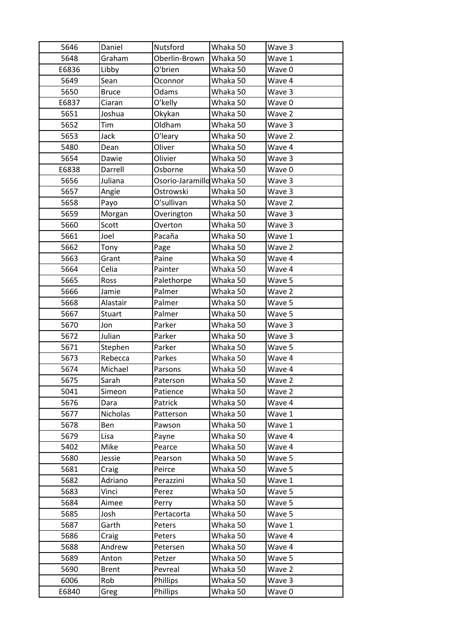| 5646  | Daniel       | Nutsford                  | Whaka 50 | Wave 3 |
|-------|--------------|---------------------------|----------|--------|
| 5648  | Graham       | Oberlin-Brown             | Whaka 50 | Wave 1 |
| E6836 | Libby        | O'brien                   | Whaka 50 | Wave 0 |
| 5649  | Sean         | Oconnor                   | Whaka 50 | Wave 4 |
| 5650  | <b>Bruce</b> | Odams                     | Whaka 50 | Wave 3 |
| E6837 | Ciaran       | O'kelly                   | Whaka 50 | Wave 0 |
| 5651  | Joshua       | Okykan                    | Whaka 50 | Wave 2 |
| 5652  | Tim          | Oldham                    | Whaka 50 | Wave 3 |
| 5653  | Jack         | O'leary                   | Whaka 50 | Wave 2 |
| 5480  | Dean         | Oliver                    | Whaka 50 | Wave 4 |
| 5654  | Dawie        | Olivier                   | Whaka 50 | Wave 3 |
| E6838 | Darrell      | Osborne                   | Whaka 50 | Wave 0 |
| 5656  | Juliana      | Osorio-Jaramillo Whaka 50 |          | Wave 3 |
| 5657  | Angie        | Ostrowski                 | Whaka 50 | Wave 3 |
| 5658  | Payo         | O'sullivan                | Whaka 50 | Wave 2 |
| 5659  | Morgan       | Overington                | Whaka 50 | Wave 3 |
| 5660  | Scott        | Overton                   | Whaka 50 | Wave 3 |
| 5661  | Joel         | Pacaña                    | Whaka 50 | Wave 1 |
| 5662  | Tony         | Page                      | Whaka 50 | Wave 2 |
| 5663  | Grant        | Paine                     | Whaka 50 | Wave 4 |
| 5664  | Celia        | Painter                   | Whaka 50 | Wave 4 |
| 5665  | Ross         | Palethorpe                | Whaka 50 | Wave 5 |
| 5666  | Jamie        | Palmer                    | Whaka 50 | Wave 2 |
| 5668  | Alastair     | Palmer                    | Whaka 50 | Wave 5 |
| 5667  | Stuart       | Palmer                    | Whaka 50 | Wave 5 |
| 5670  | Jon          | Parker                    | Whaka 50 | Wave 3 |
| 5672  | Julian       | Parker                    | Whaka 50 | Wave 3 |
| 5671  | Stephen      | Parker                    | Whaka 50 | Wave 5 |
| 5673  | Rebecca      | Parkes                    | Whaka 50 | Wave 4 |
| 5674  | Michael      | Parsons                   | Whaka 50 | Wave 4 |
| 5675  | Sarah        | Paterson                  | Whaka 50 | Wave 2 |
| 5041  | Simeon       | Patience                  | Whaka 50 | Wave 2 |
| 5676  | Dara         | Patrick                   | Whaka 50 | Wave 4 |
| 5677  | Nicholas     | Patterson                 | Whaka 50 | Wave 1 |
| 5678  | Ben          | Pawson                    | Whaka 50 | Wave 1 |
| 5679  | Lisa         | Payne                     | Whaka 50 | Wave 4 |
| 5402  | Mike         | Pearce                    | Whaka 50 | Wave 4 |
| 5680  | Jessie       | Pearson                   | Whaka 50 | Wave 5 |
| 5681  | Craig        | Peirce                    | Whaka 50 | Wave 5 |
| 5682  | Adriano      | Perazzini                 | Whaka 50 | Wave 1 |
| 5683  | Vinci        | Perez                     | Whaka 50 | Wave 5 |
| 5684  | Aimee        | Perry                     | Whaka 50 | Wave 5 |
| 5685  | Josh         | Pertacorta                | Whaka 50 | Wave 5 |
| 5687  | Garth        | Peters                    | Whaka 50 | Wave 1 |
| 5686  | Craig        | Peters                    | Whaka 50 | Wave 4 |
| 5688  | Andrew       | Petersen                  | Whaka 50 | Wave 4 |
| 5689  | Anton        | Petzer                    | Whaka 50 | Wave 5 |
| 5690  | <b>Brent</b> | Pevreal                   | Whaka 50 | Wave 2 |
| 6006  | Rob          | Phillips                  | Whaka 50 | Wave 3 |
| E6840 | Greg         | Phillips                  | Whaka 50 | Wave 0 |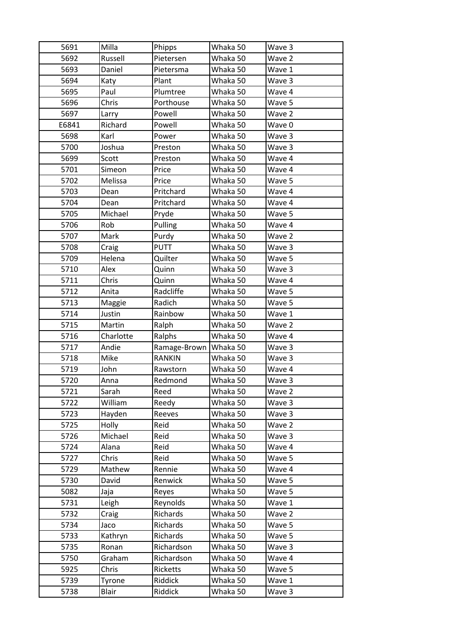| 5691  | Milla     | Phipps                  | Whaka 50 | Wave 3 |
|-------|-----------|-------------------------|----------|--------|
| 5692  | Russell   | Pietersen               | Whaka 50 | Wave 2 |
| 5693  | Daniel    | Pietersma               | Whaka 50 | Wave 1 |
| 5694  | Katy      | Plant                   | Whaka 50 | Wave 3 |
| 5695  | Paul      | Plumtree                | Whaka 50 | Wave 4 |
| 5696  | Chris     | Porthouse               | Whaka 50 | Wave 5 |
| 5697  | Larry     | Powell                  | Whaka 50 | Wave 2 |
| E6841 | Richard   | Powell                  | Whaka 50 | Wave 0 |
| 5698  | Karl      | Power                   | Whaka 50 | Wave 3 |
| 5700  | Joshua    | Preston                 | Whaka 50 | Wave 3 |
| 5699  | Scott     | Preston                 | Whaka 50 | Wave 4 |
| 5701  | Simeon    | Price                   | Whaka 50 | Wave 4 |
| 5702  | Melissa   | Price                   | Whaka 50 | Wave 5 |
| 5703  | Dean      | Pritchard               | Whaka 50 | Wave 4 |
| 5704  | Dean      | Pritchard               | Whaka 50 | Wave 4 |
| 5705  | Michael   | Pryde                   | Whaka 50 | Wave 5 |
| 5706  | Rob       | Pulling                 | Whaka 50 | Wave 4 |
| 5707  | Mark      | Purdy                   | Whaka 50 | Wave 2 |
| 5708  | Craig     | <b>PUTT</b>             | Whaka 50 | Wave 3 |
| 5709  | Helena    | Quilter                 | Whaka 50 | Wave 5 |
| 5710  | Alex      | Quinn                   | Whaka 50 | Wave 3 |
| 5711  | Chris     | Quinn                   | Whaka 50 | Wave 4 |
| 5712  | Anita     | Radcliffe               | Whaka 50 | Wave 5 |
| 5713  | Maggie    | Radich                  | Whaka 50 | Wave 5 |
| 5714  | Justin    | Rainbow                 | Whaka 50 | Wave 1 |
|       |           |                         |          |        |
| 5715  | Martin    | Ralph                   | Whaka 50 | Wave 2 |
| 5716  | Charlotte | Ralphs                  | Whaka 50 | Wave 4 |
| 5717  | Andie     | Ramage-Brown   Whaka 50 |          | Wave 3 |
| 5718  | Mike      | <b>RANKIN</b>           | Whaka 50 | Wave 3 |
| 5719  | John      | Rawstorn                | Whaka 50 | Wave 4 |
| 5720  | Anna      | Redmond                 | Whaka 50 | Wave 3 |
| 5721  | Sarah     | Reed                    | Whaka 50 | Wave 2 |
| 5722  | William   | Reedy                   | Whaka 50 | Wave 3 |
| 5723  | Hayden    | Reeves                  | Whaka 50 | Wave 3 |
| 5725  | Holly     | Reid                    | Whaka 50 | Wave 2 |
| 5726  | Michael   | Reid                    | Whaka 50 | Wave 3 |
| 5724  | Alana     | Reid                    | Whaka 50 | Wave 4 |
| 5727  | Chris     | Reid                    | Whaka 50 | Wave 5 |
| 5729  | Mathew    | Rennie                  | Whaka 50 | Wave 4 |
| 5730  | David     | Renwick                 | Whaka 50 | Wave 5 |
| 5082  | Jaja      | Reyes                   | Whaka 50 | Wave 5 |
| 5731  | Leigh     | Reynolds                | Whaka 50 | Wave 1 |
| 5732  | Craig     | Richards                | Whaka 50 | Wave 2 |
| 5734  | Jaco      | Richards                | Whaka 50 | Wave 5 |
| 5733  | Kathryn   | Richards                | Whaka 50 | Wave 5 |
| 5735  | Ronan     | Richardson              | Whaka 50 | Wave 3 |
| 5750  | Graham    | Richardson              | Whaka 50 | Wave 4 |
| 5925  | Chris     | Ricketts                | Whaka 50 | Wave 5 |
| 5739  | Tyrone    | Riddick                 | Whaka 50 | Wave 1 |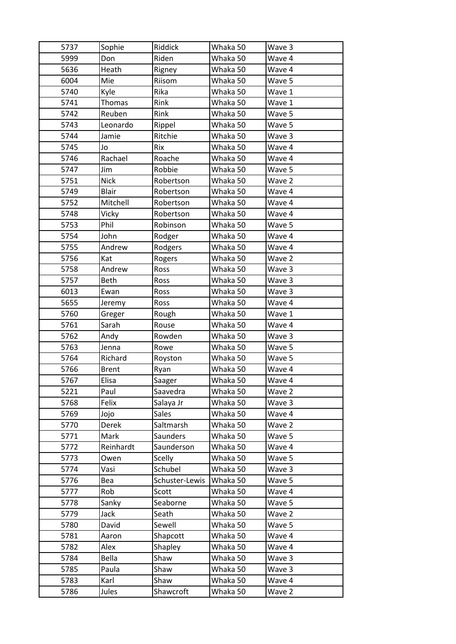| 5737 | Sophie       | Riddick         | Whaka 50 | Wave 3 |
|------|--------------|-----------------|----------|--------|
| 5999 | Don          | Riden           | Whaka 50 | Wave 4 |
| 5636 | Heath        | Rigney          | Whaka 50 | Wave 4 |
| 6004 | Mie          | Riisom          | Whaka 50 | Wave 5 |
| 5740 | Kyle         | Rika            | Whaka 50 | Wave 1 |
| 5741 | Thomas       | Rink            | Whaka 50 | Wave 1 |
| 5742 | Reuben       | Rink            | Whaka 50 | Wave 5 |
| 5743 | Leonardo     | Rippel          | Whaka 50 | Wave 5 |
| 5744 | Jamie        | Ritchie         | Whaka 50 | Wave 3 |
| 5745 | Jo           | Rix             | Whaka 50 | Wave 4 |
| 5746 | Rachael      | Roache          | Whaka 50 | Wave 4 |
| 5747 | Jim          | Robbie          | Whaka 50 | Wave 5 |
| 5751 | <b>Nick</b>  | Robertson       | Whaka 50 | Wave 2 |
| 5749 | <b>Blair</b> | Robertson       | Whaka 50 | Wave 4 |
| 5752 | Mitchell     | Robertson       | Whaka 50 | Wave 4 |
| 5748 | Vicky        | Robertson       | Whaka 50 | Wave 4 |
| 5753 | Phil         | Robinson        | Whaka 50 | Wave 5 |
| 5754 | John         | Rodger          | Whaka 50 | Wave 4 |
| 5755 | Andrew       | Rodgers         | Whaka 50 | Wave 4 |
| 5756 | Kat          | Rogers          | Whaka 50 | Wave 2 |
| 5758 | Andrew       | Ross            | Whaka 50 | Wave 3 |
| 5757 | <b>Beth</b>  | Ross            | Whaka 50 | Wave 3 |
| 6013 | Ewan         | Ross            | Whaka 50 | Wave 3 |
| 5655 | Jeremy       | Ross            | Whaka 50 | Wave 4 |
| 5760 | Greger       | Rough           | Whaka 50 | Wave 1 |
| 5761 | Sarah        | Rouse           | Whaka 50 | Wave 4 |
| 5762 | Andy         | Rowden          | Whaka 50 | Wave 3 |
| 5763 | Jenna        | Rowe            | Whaka 50 | Wave 5 |
| 5764 | Richard      | Royston         | Whaka 50 | Wave 5 |
| 5766 | <b>Brent</b> | Ryan            | Whaka 50 | Wave 4 |
| 5767 | Elisa        | Saager          | Whaka 50 | Wave 4 |
| 5221 | Paul         | Saavedra        | Whaka 50 | Wave 2 |
| 5768 | Felix        | Salaya Jr       | Whaka 50 | Wave 3 |
| 5769 | Jojo         | Sales           | Whaka 50 | Wave 4 |
| 5770 | Derek        | Saltmarsh       | Whaka 50 | Wave 2 |
| 5771 | Mark         | <b>Saunders</b> | Whaka 50 | Wave 5 |
| 5772 | Reinhardt    | Saunderson      | Whaka 50 | Wave 4 |
| 5773 | Owen         | Scelly          | Whaka 50 | Wave 5 |
| 5774 | Vasi         | Schubel         | Whaka 50 | Wave 3 |
| 5776 | Bea          | Schuster-Lewis  | Whaka 50 | Wave 5 |
| 5777 | Rob          | Scott           | Whaka 50 | Wave 4 |
| 5778 | Sanky        | Seaborne        | Whaka 50 | Wave 5 |
| 5779 | Jack         | Seath           | Whaka 50 | Wave 2 |
| 5780 | David        | Sewell          | Whaka 50 | Wave 5 |
| 5781 | Aaron        | Shapcott        | Whaka 50 | Wave 4 |
| 5782 | Alex         | Shapley         | Whaka 50 | Wave 4 |
| 5784 | Bella        | Shaw            | Whaka 50 | Wave 3 |
| 5785 | Paula        | Shaw            | Whaka 50 | Wave 3 |
| 5783 | Karl         | Shaw            | Whaka 50 | Wave 4 |
| 5786 | Jules        | Shawcroft       | Whaka 50 | Wave 2 |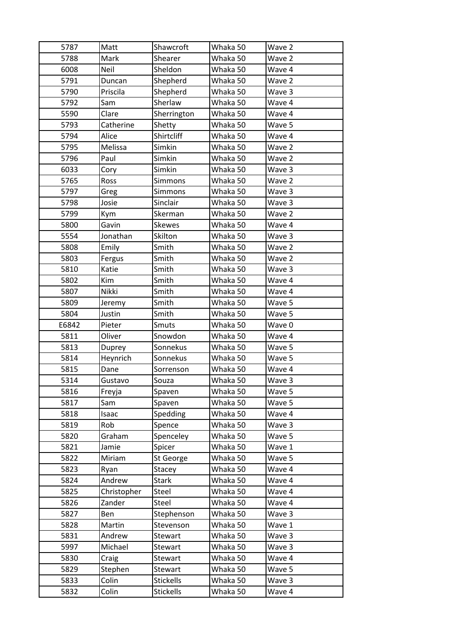| 5787  | Matt        | Shawcroft        | Whaka 50 | Wave 2 |
|-------|-------------|------------------|----------|--------|
| 5788  | Mark        | Shearer          | Whaka 50 | Wave 2 |
| 6008  | Neil        | Sheldon          | Whaka 50 | Wave 4 |
| 5791  | Duncan      | Shepherd         | Whaka 50 | Wave 2 |
| 5790  | Priscila    | Shepherd         | Whaka 50 | Wave 3 |
| 5792  | Sam         | Sherlaw          | Whaka 50 | Wave 4 |
| 5590  | Clare       | Sherrington      | Whaka 50 | Wave 4 |
| 5793  | Catherine   | Shetty           | Whaka 50 | Wave 5 |
| 5794  | Alice       | Shirtcliff       | Whaka 50 | Wave 4 |
| 5795  | Melissa     | Simkin           | Whaka 50 | Wave 2 |
| 5796  | Paul        | Simkin           | Whaka 50 | Wave 2 |
| 6033  | Cory        | Simkin           | Whaka 50 | Wave 3 |
| 5765  | Ross        | Simmons          | Whaka 50 | Wave 2 |
| 5797  | Greg        | Simmons          | Whaka 50 | Wave 3 |
| 5798  | Josie       | Sinclair         | Whaka 50 | Wave 3 |
| 5799  | Kym         | Skerman          | Whaka 50 | Wave 2 |
| 5800  | Gavin       | <b>Skewes</b>    | Whaka 50 | Wave 4 |
| 5554  | Jonathan    | Skilton          | Whaka 50 | Wave 3 |
| 5808  | Emily       | Smith            | Whaka 50 | Wave 2 |
| 5803  | Fergus      | Smith            | Whaka 50 | Wave 2 |
| 5810  | Katie       | Smith            | Whaka 50 | Wave 3 |
| 5802  | Kim         | Smith            | Whaka 50 | Wave 4 |
| 5807  | Nikki       | Smith            | Whaka 50 | Wave 4 |
| 5809  | Jeremy      | Smith            | Whaka 50 | Wave 5 |
| 5804  | Justin      | Smith            | Whaka 50 | Wave 5 |
| E6842 | Pieter      | Smuts            | Whaka 50 | Wave 0 |
| 5811  | Oliver      | Snowdon          | Whaka 50 | Wave 4 |
| 5813  | Duprey      | Sonnekus         | Whaka 50 | Wave 5 |
| 5814  | Heynrich    | Sonnekus         | Whaka 50 | Wave 5 |
| 5815  | Dane        | Sorrenson        | Whaka 50 | Wave 4 |
| 5314  | Gustavo     | Souza            | Whaka 50 | Wave 3 |
| 5816  | Freyja      | Spaven           | Whaka 50 | Wave 5 |
| 5817  | Sam         | Spaven           | Whaka 50 | Wave 5 |
| 5818  | Isaac       | Spedding         | Whaka 50 | Wave 4 |
| 5819  | Rob         | Spence           | Whaka 50 | Wave 3 |
| 5820  | Graham      | Spenceley        | Whaka 50 | Wave 5 |
| 5821  | Jamie       | Spicer           | Whaka 50 | Wave 1 |
| 5822  | Miriam      | St George        | Whaka 50 | Wave 5 |
| 5823  | Ryan        | Stacey           | Whaka 50 | Wave 4 |
| 5824  | Andrew      | <b>Stark</b>     | Whaka 50 | Wave 4 |
| 5825  | Christopher | Steel            | Whaka 50 | Wave 4 |
| 5826  | Zander      | Steel            | Whaka 50 | Wave 4 |
| 5827  | Ben         | Stephenson       | Whaka 50 | Wave 3 |
| 5828  | Martin      | Stevenson        | Whaka 50 | Wave 1 |
| 5831  | Andrew      | Stewart          | Whaka 50 | Wave 3 |
| 5997  | Michael     | Stewart          | Whaka 50 | Wave 3 |
| 5830  | Craig       | Stewart          | Whaka 50 | Wave 4 |
| 5829  | Stephen     | Stewart          | Whaka 50 | Wave 5 |
| 5833  | Colin       | <b>Stickells</b> | Whaka 50 | Wave 3 |
| 5832  | Colin       | <b>Stickells</b> | Whaka 50 | Wave 4 |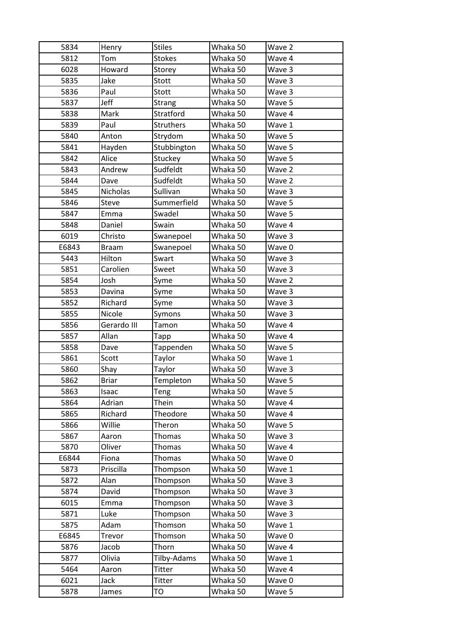| 5834  | Henry        | <b>Stiles</b>       | Whaka 50 | Wave 2 |
|-------|--------------|---------------------|----------|--------|
| 5812  | Tom          | <b>Stokes</b>       | Whaka 50 | Wave 4 |
| 6028  | Howard       | Storey              | Whaka 50 | Wave 3 |
| 5835  | Jake         | Stott               | Whaka 50 | Wave 3 |
| 5836  | Paul         | Stott               | Whaka 50 | Wave 3 |
| 5837  | Jeff         | Strang              | Whaka 50 | Wave 5 |
| 5838  | Mark         | Stratford           | Whaka 50 | Wave 4 |
| 5839  | Paul         | <b>Struthers</b>    | Whaka 50 | Wave 1 |
| 5840  | Anton        | Strydom             | Whaka 50 | Wave 5 |
| 5841  | Hayden       | Stubbington         | Whaka 50 | Wave 5 |
| 5842  | Alice        | Stuckey             | Whaka 50 | Wave 5 |
| 5843  | Andrew       | Sudfeldt            | Whaka 50 | Wave 2 |
| 5844  | Dave         | Sudfeldt            | Whaka 50 | Wave 2 |
| 5845  | Nicholas     | Sullivan            | Whaka 50 | Wave 3 |
| 5846  | <b>Steve</b> | Summerfield         | Whaka 50 | Wave 5 |
| 5847  | Emma         | Swadel              | Whaka 50 | Wave 5 |
| 5848  | Daniel       | Swain               | Whaka 50 | Wave 4 |
| 6019  | Christo      | Swanepoel           | Whaka 50 | Wave 3 |
| E6843 | <b>Braam</b> | Swanepoel           | Whaka 50 | Wave 0 |
| 5443  | Hilton       | Swart               | Whaka 50 | Wave 3 |
| 5851  | Carolien     | Sweet               | Whaka 50 | Wave 3 |
| 5854  | Josh         | Syme                | Whaka 50 | Wave 2 |
| 5853  | Davina       | Syme                | Whaka 50 | Wave 3 |
| 5852  | Richard      | Syme                | Whaka 50 | Wave 3 |
| 5855  | Nicole       |                     | Whaka 50 | Wave 3 |
|       |              | Symons              |          |        |
| 5856  | Gerardo III  | Tamon               | Whaka 50 | Wave 4 |
| 5857  | Allan        | Tapp                | Whaka 50 | Wave 4 |
| 5858  | Dave         | Tappenden           | Whaka 50 | Wave 5 |
| 5861  | Scott        | Taylor              | Whaka 50 | Wave 1 |
| 5860  | Shay         | Taylor              | Whaka 50 | Wave 3 |
| 5862  | <b>Briar</b> | Templeton           | Whaka 50 | Wave 5 |
| 5863  | Isaac        | Teng                | Whaka 50 | Wave 5 |
| 5864  | Adrian       | Thein               | Whaka 50 | Wave 4 |
| 5865  | Richard      | Theodore            | Whaka 50 | Wave 4 |
| 5866  | Willie       | Theron              | Whaka 50 | Wave 5 |
| 5867  | Aaron        | <b>Thomas</b>       | Whaka 50 | Wave 3 |
| 5870  | Oliver       | <b>Thomas</b>       | Whaka 50 | Wave 4 |
| E6844 | Fiona        | <b>Thomas</b>       | Whaka 50 | Wave 0 |
| 5873  | Priscilla    | Thompson            | Whaka 50 | Wave 1 |
| 5872  | Alan         | Thompson            | Whaka 50 | Wave 3 |
| 5874  | David        | Thompson            | Whaka 50 | Wave 3 |
| 6015  | Emma         | Thompson            | Whaka 50 | Wave 3 |
| 5871  | Luke         | Thompson            | Whaka 50 | Wave 3 |
| 5875  | Adam         | Thomson             | Whaka 50 | Wave 1 |
| E6845 | Trevor       | Thomson             | Whaka 50 | Wave 0 |
| 5876  | Jacob        | Thorn               | Whaka 50 | Wave 4 |
| 5877  | Olivia       | Tilby-Adams         | Whaka 50 | Wave 1 |
| 5464  | Aaron        | Titter              | Whaka 50 | Wave 4 |
| 6021  | Jack         | <b>Titter</b><br>TO | Whaka 50 | Wave 0 |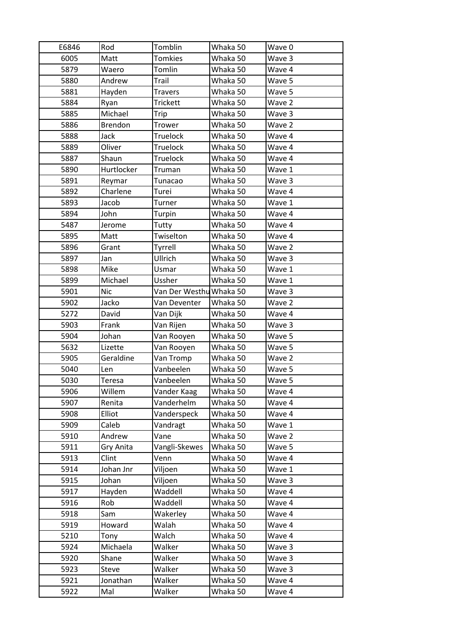| E6846 | Rod            | Tomblin                 | Whaka 50 | Wave 0 |
|-------|----------------|-------------------------|----------|--------|
| 6005  | Matt           | <b>Tomkies</b>          | Whaka 50 | Wave 3 |
| 5879  | Waero          | Tomlin                  | Whaka 50 | Wave 4 |
| 5880  | Andrew         | Trail                   | Whaka 50 | Wave 5 |
| 5881  | Hayden         | <b>Travers</b>          | Whaka 50 | Wave 5 |
| 5884  | Ryan           | <b>Trickett</b>         | Whaka 50 | Wave 2 |
| 5885  | Michael        | Trip                    | Whaka 50 | Wave 3 |
| 5886  | <b>Brendon</b> | Trower                  | Whaka 50 | Wave 2 |
| 5888  | Jack           | <b>Truelock</b>         | Whaka 50 | Wave 4 |
| 5889  | Oliver         | <b>Truelock</b>         | Whaka 50 | Wave 4 |
| 5887  | Shaun          | <b>Truelock</b>         | Whaka 50 | Wave 4 |
| 5890  | Hurtlocker     | Truman                  | Whaka 50 | Wave 1 |
| 5891  | Reymar         | Tunacao                 | Whaka 50 | Wave 3 |
| 5892  | Charlene       | Turei                   | Whaka 50 | Wave 4 |
| 5893  | Jacob          | Turner                  | Whaka 50 | Wave 1 |
| 5894  | John           | Turpin                  | Whaka 50 | Wave 4 |
| 5487  | Jerome         | Tutty                   | Whaka 50 | Wave 4 |
| 5895  | Matt           | Twiselton               | Whaka 50 | Wave 4 |
| 5896  | Grant          | Tyrrell                 | Whaka 50 | Wave 2 |
| 5897  | Jan            | Ullrich                 | Whaka 50 | Wave 3 |
| 5898  | Mike           | Usmar                   | Whaka 50 | Wave 1 |
| 5899  | Michael        | Ussher                  | Whaka 50 | Wave 1 |
| 5901  | <b>Nic</b>     | Van Der Westhu Whaka 50 |          | Wave 3 |
| 5902  | Jacko          | Van Deventer            | Whaka 50 | Wave 2 |
| 5272  | David          | Van Dijk                | Whaka 50 | Wave 4 |
| 5903  | Frank          | Van Rijen               | Whaka 50 | Wave 3 |
| 5904  | Johan          | Van Rooyen              | Whaka 50 | Wave 5 |
| 5632  | Lizette        | Van Rooyen              | Whaka 50 | Wave 5 |
| 5905  | Geraldine      | Van Tromp               | Whaka 50 | Wave 2 |
| 5040  | Len            | Vanbeelen               | Whaka 50 | Wave 5 |
| 5030  | Teresa         | Vanbeelen               | Whaka 50 | Wave 5 |
| 5906  | Willem         | Vander Kaag             | Whaka 50 | Wave 4 |
| 5907  | Renita         | Vanderhelm              | Whaka 50 | Wave 4 |
| 5908  | Elliot         | Vanderspeck             | Whaka 50 | Wave 4 |
| 5909  | Caleb          | Vandragt                | Whaka 50 | Wave 1 |
| 5910  | Andrew         | Vane                    | Whaka 50 | Wave 2 |
| 5911  | Gry Anita      | Vangli-Skewes           | Whaka 50 | Wave 5 |
| 5913  | Clint          | Venn                    | Whaka 50 | Wave 4 |
| 5914  | Johan Jnr      | Viljoen                 | Whaka 50 | Wave 1 |
| 5915  | Johan          | Viljoen                 | Whaka 50 | Wave 3 |
| 5917  | Hayden         | Waddell                 | Whaka 50 | Wave 4 |
| 5916  | Rob            | Waddell                 | Whaka 50 | Wave 4 |
| 5918  | Sam            | Wakerley                | Whaka 50 | Wave 4 |
| 5919  | Howard         | Walah                   | Whaka 50 | Wave 4 |
| 5210  | Tony           | Walch                   | Whaka 50 | Wave 4 |
| 5924  | Michaela       | Walker                  | Whaka 50 | Wave 3 |
| 5920  | Shane          | Walker                  | Whaka 50 | Wave 3 |
| 5923  | Steve          | Walker                  | Whaka 50 | Wave 3 |
| 5921  | Jonathan       | Walker                  | Whaka 50 | Wave 4 |
| 5922  | Mal            | Walker                  | Whaka 50 | Wave 4 |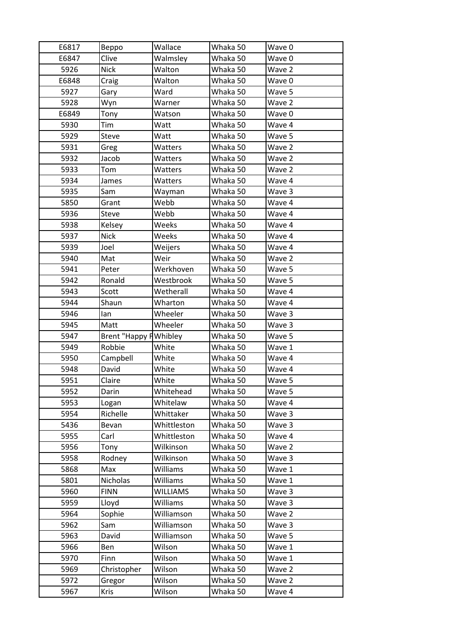| E6817 | Beppo                        | Wallace     | Whaka 50 | Wave 0 |
|-------|------------------------------|-------------|----------|--------|
| E6847 | Clive                        | Walmsley    | Whaka 50 | Wave 0 |
| 5926  | <b>Nick</b>                  | Walton      | Whaka 50 | Wave 2 |
| E6848 | Craig                        | Walton      | Whaka 50 | Wave 0 |
| 5927  | Gary                         | Ward        | Whaka 50 | Wave 5 |
| 5928  | Wyn                          | Warner      | Whaka 50 | Wave 2 |
| E6849 | Tony                         | Watson      | Whaka 50 | Wave 0 |
| 5930  | Tim                          | Watt        | Whaka 50 | Wave 4 |
| 5929  | Steve                        | Watt        | Whaka 50 | Wave 5 |
| 5931  | Greg                         | Watters     | Whaka 50 | Wave 2 |
| 5932  | Jacob                        | Watters     | Whaka 50 | Wave 2 |
| 5933  | Tom                          | Watters     | Whaka 50 | Wave 2 |
| 5934  | James                        | Watters     | Whaka 50 | Wave 4 |
| 5935  | Sam                          | Wayman      | Whaka 50 | Wave 3 |
| 5850  | Grant                        | Webb        | Whaka 50 | Wave 4 |
| 5936  | Steve                        | Webb        | Whaka 50 | Wave 4 |
| 5938  | Kelsey                       | Weeks       | Whaka 50 | Wave 4 |
| 5937  | <b>Nick</b>                  | Weeks       | Whaka 50 | Wave 4 |
| 5939  | Joel                         | Weijers     | Whaka 50 | Wave 4 |
| 5940  | Mat                          | Weir        | Whaka 50 | Wave 2 |
| 5941  | Peter                        | Werkhoven   | Whaka 50 | Wave 5 |
| 5942  | Ronald                       | Westbrook   | Whaka 50 | Wave 5 |
| 5943  | Scott                        | Wetherall   | Whaka 50 | Wave 4 |
| 5944  | Shaun                        | Wharton     | Whaka 50 | Wave 4 |
| 5946  | lan                          | Wheeler     | Whaka 50 | Wave 3 |
| 5945  | Matt                         | Wheeler     | Whaka 50 | Wave 3 |
| 5947  | <b>Brent "Happy HWhibley</b> |             | Whaka 50 | Wave 5 |
| 5949  | Robbie                       | White       | Whaka 50 | Wave 1 |
| 5950  | Campbell                     | White       | Whaka 50 | Wave 4 |
| 5948  | David                        | White       | Whaka 50 | Wave 4 |
| 5951  | Claire                       | White       | Whaka 50 | Wave 5 |
| 5952  | Darin                        | Whitehead   | Whaka 50 | Wave 5 |
| 5953  | Logan                        | Whitelaw    |          | Wave 4 |
| 5954  |                              |             | Whaka 50 |        |
|       | Richelle                     | Whittaker   | Whaka 50 | Wave 3 |
| 5436  | Bevan                        | Whittleston | Whaka 50 | Wave 3 |
| 5955  | Carl                         | Whittleston | Whaka 50 | Wave 4 |
| 5956  | Tony                         | Wilkinson   | Whaka 50 | Wave 2 |
| 5958  | Rodney                       | Wilkinson   | Whaka 50 | Wave 3 |
| 5868  | Max                          | Williams    | Whaka 50 | Wave 1 |
| 5801  | Nicholas                     | Williams    | Whaka 50 | Wave 1 |
| 5960  | <b>FINN</b>                  | WILLIAMS    | Whaka 50 | Wave 3 |
| 5959  | Lloyd                        | Williams    | Whaka 50 | Wave 3 |
| 5964  | Sophie                       | Williamson  | Whaka 50 | Wave 2 |
| 5962  | Sam                          | Williamson  | Whaka 50 | Wave 3 |
| 5963  | David                        | Williamson  | Whaka 50 | Wave 5 |
| 5966  | Ben                          | Wilson      | Whaka 50 | Wave 1 |
| 5970  | Finn                         | Wilson      | Whaka 50 | Wave 1 |
| 5969  | Christopher                  | Wilson      | Whaka 50 | Wave 2 |
| 5972  | Gregor                       | Wilson      | Whaka 50 | Wave 2 |